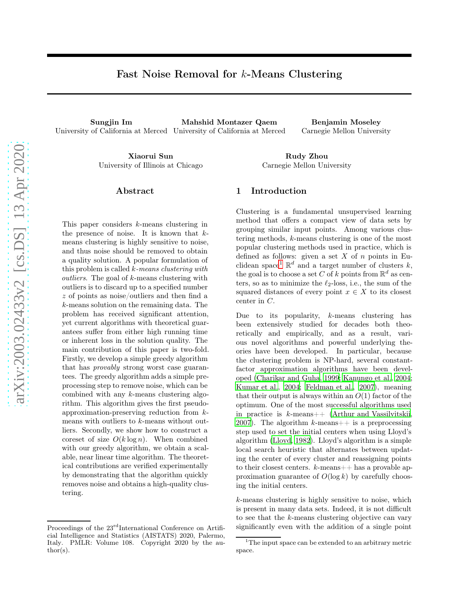# Fast Noise Removal for k-Means Clustering

Sungjin Im Mahshid Montazer Qaem Benjamin Moseley University of California at Merced University of California at Merced Carnegie Mellon University

University of Illinois at Chicago Carnegie Mellon University

Xiaorui Sun Rudy Zhou

#### Abstract

This paper considers k-means clustering in the presence of noise. It is known that  $k$ means clustering is highly sensitive to noise, and thus noise should be removed to obtain a quality solution. A popular formulation of this problem is called k*-means clustering with outliers*. The goal of k-means clustering with outliers is to discard up to a specified number z of points as noise/outliers and then find a k-means solution on the remaining data. The problem has received significant attention, yet current algorithms with theoretical guarantees suffer from either high running time or inherent loss in the solution quality. The main contribution of this paper is two-fold. Firstly, we develop a simple greedy algorithm that has *provably* strong worst case guarantees. The greedy algorithm adds a simple preprocessing step to remove noise, which can be combined with any k-means clustering algorithm. This algorithm gives the first pseudoapproximation-preserving reduction from kmeans with outliers to k-means without outliers. Secondly, we show how to construct a coreset of size  $O(k \log n)$ . When combined with our greedy algorithm, we obtain a scalable, near linear time algorithm. The theoretical contributions are verified experimentally by demonstrating that the algorithm quickly removes noise and obtains a high-quality clustering.

## 1 Introduction

Clustering is a fundamental unsupervised learning method that offers a compact view of data sets by grouping similar input points. Among various clustering methods, k-means clustering is one of the most popular clustering methods used in practice, which is defined as follows: given a set  $X$  of  $n$  points in Eu-clidean space<sup>[1](#page-0-0)</sup>  $\mathbb{R}^d$  and a target number of clusters  $k$ , the goal is to choose a set C of k points from  $\mathbb{R}^d$  as centers, so as to minimize the  $\ell_2$ -loss, i.e., the sum of the squared distances of every point  $x \in X$  to its closest center in C.

Due to its popularity,  $k$ -means clustering has been extensively studied for decades both theoretically and empirically, and as a result, various novel algorithms and powerful underlying theories have been developed. In particular, because the clustering problem is NP-hard, several constantfactor approximation algorithms have been developed [\(Charikar and Guha, 1999;](#page-8-0) [Kanungo et al.](#page-9-0), [2004;](#page-9-0) [Kumar et al., 2004;](#page-9-1) [Feldman et al., 2007\)](#page-9-2), meaning that their output is always within an  $O(1)$  factor of the optimum. One of the most successful algorithms used in practice is  $k$ -means++ [\(Arthur and Vassilvitskii,](#page-8-1) [2007\)](#page-8-1). The algorithm k-means  $++$  is a preprocessing step used to set the initial centers when using Lloyd's algorithm [\(Lloyd](#page-9-3), [1982\)](#page-9-3). Lloyd's algorithm is a simple local search heuristic that alternates between updating the center of every cluster and reassigning points to their closest centers.  $k$ -means  $++$  has a provable approximation guarantee of  $O(\log k)$  by carefully choosing the initial centers.

k-means clustering is highly sensitive to noise, which is present in many data sets. Indeed, it is not difficult to see that the k-means clustering objective can vary significantly even with the addition of a single point

Proceedings of the 23<sup>rd</sup>International Conference on Artificial Intelligence and Statistics (AISTATS) 2020, Palermo, Italy. PMLR: Volume 108. Copyright 2020 by the au- $\text{thor}(s)$ .

<span id="page-0-0"></span><sup>&</sup>lt;sup>1</sup>The input space can be extended to an arbitrary metric space.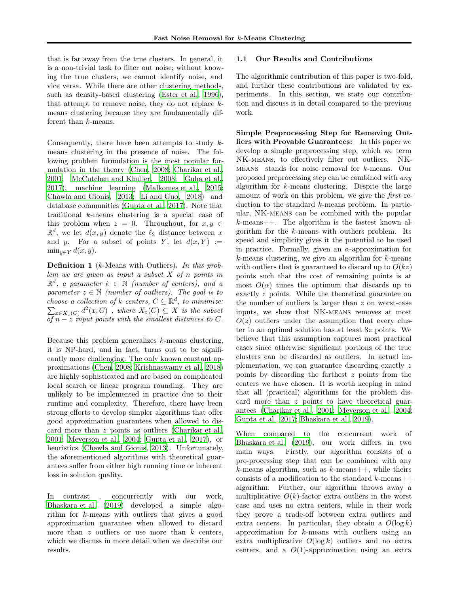that is far away from the true clusters. In general, it is a non-trivial task to filter out noise; without knowing the true clusters, we cannot identify noise, and vice versa. While there are other clustering methods, such as density-based clustering [\(Ester et al.](#page-8-2), [1996\)](#page-8-2), that attempt to remove noise, they do not replace  $k$ means clustering because they are fundamentally different than k-means.

Consequently, there have been attempts to study  $k$ means clustering in the presence of noise. The following problem formulation is the most popular formulation in the theory [\(Chen](#page-8-3), [2008;](#page-8-3) [Charikar et al.,](#page-8-4) [2001;](#page-8-4) [McCutchen and Khuller, 2008;](#page-9-4) [Guha et al.,](#page-9-5) [2017\)](#page-9-5), machine learning [\(Malkomes et al.](#page-9-6), [2015;](#page-9-6) [Chawla and Gionis, 2013;](#page-8-5) [Li and Guo, 2018\)](#page-9-7) and database communities [\(Gupta et al., 2017\)](#page-9-8). Note that traditional k-means clustering is a special case of this problem when  $z = 0$ . Throughout, for  $x, y \in$  $\mathbb{R}^d$ , we let  $d(x, y)$  denote the  $\ell_2$  distance between x and y. For a subset of points Y, let  $d(x, Y) :=$  $\min_{y \in Y} d(x, y).$ 

Definition 1 (k-Means with Outliers). *In this problem we are given as input a subset* X *of* n *points in*  $\mathbb{R}^d$ , a parameter  $k \in \mathbb{N}$  *(number of centers)*, and a *parameter*  $z \in \mathbb{N}$  *(number of outliers). The goal is to choose a collection of*  $k$  *centers,*  $C \subseteq \mathbb{R}^d$ *, to minimize:*  $\sum_{x \in X_z(C)} d^2(x, C)$ , where  $X_z(C) \subseteq X$  is the subset *of*  $n - \overline{z}$  *input points with the smallest distances to C.* 

Because this problem generalizes  $k$ -means clustering, it is NP-hard, and in fact, turns out to be significantly more challenging. The only known constant approximations [\(Chen, 2008;](#page-8-3) [Krishnaswamy et al., 2018](#page-9-9)) are highly sophisticated and are based on complicated local search or linear program rounding. They are unlikely to be implemented in practice due to their runtime and complexity. Therefore, there have been strong efforts to develop simpler algorithms that offer good approximation guarantees when allowed to discard more than z points as outliers [\(Charikar et al.,](#page-8-4) [2001;](#page-8-4) [Meyerson et al., 2004;](#page-9-10) [Gupta et al.](#page-9-8), [2017\)](#page-9-8), or heuristics [\(Chawla and Gionis, 2013\)](#page-8-5). Unfortunately, the aforementioned algorithms with theoretical guarantees suffer from either high running time or inherent loss in solution quality.

In contrast , concurrently with our work, Bhaskara et al. (2019) developed a simple algorithm for k-means with outliers that gives a good approximation guarantee when allowed to discard more than  $z$  outliers or use more than  $k$  centers, which we discuss in more detail when we describe our results.

#### 1.1 Our Results and Contributions

The algorithmic contribution of this paper is two-fold, and further these contributions are validated by experiments. In this section, we state our contribution and discuss it in detail compared to the previous work.

Simple Preprocessing Step for Removing Outliers with Provable Guarantees: In this paper we develop a simple preprocessing step, which we term NK-means, to effectively filter out outliers. NKmeans stands for noise removal for k-means. Our proposed preprocessing step can be combined with *any* algorithm for k-means clustering. Despite the large amount of work on this problem, we give the *first* reduction to the standard k-means problem. In particular, NK-means can be combined with the popular  $k$ -means++. The algorithm is the fastest known algorithm for the k-means with outliers problem. Its speed and simplicity gives it the potential to be used in practice. Formally, given an  $\alpha$ -approximation for  $k$ -means clustering, we give an algorithm for  $k$ -means with outliers that is guaranteed to discard up to  $O(kz)$ points such that the cost of remaining points is at most  $O(\alpha)$  times the optimum that discards up to exactly z points. While the theoretical guarantee on the number of outliers is larger than z on worst-case inputs, we show that NK-means removes at most  $O(z)$  outliers under the assumption that every cluster in an optimal solution has at least 3z points. We believe that this assumption captures most practical cases since otherwise significant portions of the true clusters can be discarded as outliers. In actual implementation, we can guarantee discarding exactly z points by discarding the farthest z points from the centers we have chosen. It is worth keeping in mind that all (practical) algorithms for the problem discard more than z points to have theoretical guarantees [\(Charikar et al.](#page-8-4), [2001;](#page-8-4) [Meyerson et al.](#page-9-10), [2004;](#page-9-10) [Gupta et al.](#page-9-8), [2017](#page-9-8); Bhaskara et al., 2019).

When compared to the concurrent work of Bhaskara et al. (2019), our work differs in two main ways. Firstly, our algorithm consists of a pre-processing step that can be combined with any  $k$ -means algorithm, such as  $k$ -means++, while theirs consists of a modification to the standard  $k$ -means++ algorithm. Further, our algorithm throws away a multiplicative  $O(k)$ -factor extra outliers in the worst case and uses no extra centers, while in their work they prove a trade-off between extra outliers and extra centers. In particular, they obtain a  $O(\log k)$ approximation for k-means with outliers using an extra multiplicative  $O(\log k)$  outliers and no extra centers, and a  $O(1)$ -approximation using an extra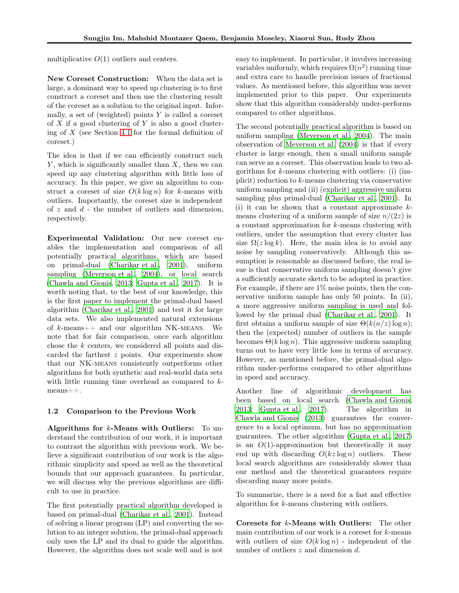multiplicative  $O(1)$  outliers and centers.

New Coreset Construction: When the data set is large, a dominant way to speed up clustering is to first construct a coreset and then use the clustering result of the coreset as a solution to the original input. Informally, a set of (weighted) points  $Y$  is called a coreset of  $X$  if a good clustering of  $Y$  is also a good clustering of  $X$  (see Section [4.1](#page-5-0) for the formal definition of coreset.)

The idea is that if we can efficiently construct such  $Y$ , which is significantly smaller than  $X$ , then we can speed up any clustering algorithm with little loss of accuracy. In this paper, we give an algorithm to construct a coreset of size  $O(k \log n)$  for k-means with outliers. Importantly, the coreset size is independent of  $z$  and  $d$  - the number of outliers and dimension, respectively.

Experimental Validation: Our new coreset enables the implementation and comparison of all potentially practical algorithms, which are based on primal-dual [\(Charikar et al., 2001\)](#page-8-4), uniform sampling [\(Meyerson et al., 2004\)](#page-9-10), or local search [\(Chawla and Gionis, 2013;](#page-8-5) [Gupta et al.](#page-9-8), [2017\)](#page-9-8). It is worth noting that, to the best of our knowledge, this is the first paper to implement the primal-dual based algorithm [\(Charikar et al.](#page-8-4), [2001\)](#page-8-4) and test it for large data sets. We also implemented natural extensions of k-means++ and our algorithm NK-MEANS. We note that for fair comparison, once each algorithm chose the k centers, we considered all points and discarded the farthest z points. Our experiments show that our NK-means consistently outperforms other algorithms for both synthetic and real-world data sets with little running time overhead as compared to kmeans++.

#### 1.2 Comparison to the Previous Work

Algorithms for  $k$ -Means with Outliers: To understand the contribution of our work, it is important to contrast the algorithm with previous work. We believe a significant contribution of our work is the algorithmic simplicity and speed as well as the theoretical bounds that our approach guarantees. In particular, we will discuss why the previous algorithms are difficult to use in practice.

The first potentially practical algorithm developed is based on primal-dual [\(Charikar et al., 2001\)](#page-8-4). Instead of solving a linear program (LP) and converting the solution to an integer solution, the primal-dual approach only uses the LP and its dual to guide the algorithm. However, the algorithm does not scale well and is not

easy to implement. In particular, it involves increasing variables uniformly, which requires  $\Omega(n^2)$  running time and extra care to handle precision issues of fractional values. As mentioned before, this algorithm was never implemented prior to this paper. Our experiments show that this algorithm considerably under-performs compared to other algorithms.

The second potentially practical algorithm is based on uniform sampling [\(Meyerson et al., 2004](#page-9-10)). The main observation of [Meyerson et al.](#page-9-10) [\(2004\)](#page-9-10) is that if every cluster is large enough, then a small uniform sample can serve as a coreset. This observation leads to two algorithms for  $k$ -means clustering with outliers: (i) (implicit) reduction to k-means clustering via conservative uniform sampling and (ii) (explicit) aggressive uniform sampling plus primal-dual [\(Charikar et al., 2001\)](#page-8-4). In (i) it can be shown that a constant approximate  $k$ means clustering of a uniform sample of size  $n/(2z)$  is a constant approximation for k-means clustering with outliers, under the assumption that every cluster has size  $\Omega(z \log k)$ . Here, the main idea is to avoid any noise by sampling conservatively. Although this assumption is reasonable as discussed before, the real issue is that conservative uniform sampling doesn't give a sufficiently accurate sketch to be adopted in practice. For example, if there are 1% noise points, then the conservative uniform sample has only 50 points. In (ii), a more aggressive uniform sampling is used and followed by the primal dual [\(Charikar et al.](#page-8-4), [2001\)](#page-8-4). It first obtains a uniform sample of size  $\Theta(k(n/z) \log n)$ ; then the (expected) number of outliers in the sample becomes  $\Theta(k \log n)$ . This aggressive uniform sampling turns out to have very little loss in terms of accuracy. However, as mentioned before, the primal-dual algorithm under-performs compared to other algorithms in speed and accuracy.

Another line of algorithmic development has been based on local search [\(Chawla and Gionis,](#page-8-5) [2013;](#page-8-5) [Gupta et al.](#page-9-8), [2017\)](#page-9-8). The algorithm in [Chawla and Gionis \(2013](#page-8-5)) guarantees the convergence to a local optimum, but has no approximation guarantees. The other algorithm [\(Gupta et al., 2017](#page-9-8)) is an  $O(1)$ -approximation but theoretically it may end up with discarding  $O(kz \log n)$  outliers. These local search algorithms are considerably slower than our method and the theoretical guarantees require discarding many more points.

To summarize, there is a need for a fast and effective algorithm for k-means clustering with outliers.

Coresets for k-Means with Outliers: The other main contribution of our work is a coreset for  $k$ -means with outliers of size  $O(k \log n)$  - independent of the number of outliers z and dimension d.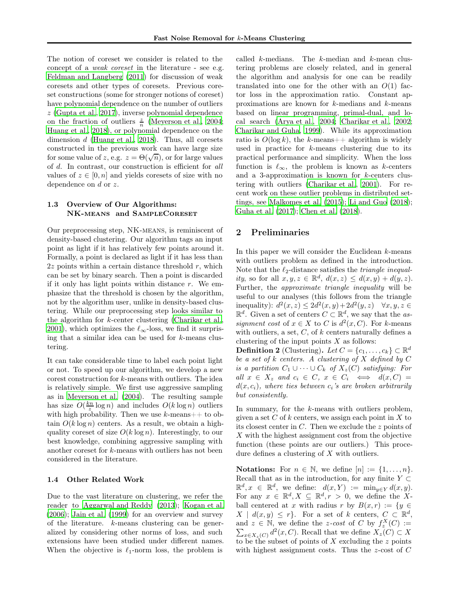The notion of coreset we consider is related to the concept of a *weak coreset* in the literature - see e.g. [Feldman and Langberg \(2011\)](#page-9-11) for discussion of weak coresets and other types of coresets. Previous coreset constructions (some for stronger notions of coreset) have polynomial dependence on the number of outliers z [\(Gupta et al.](#page-9-8), [2017\)](#page-9-8), inverse polynomial dependence on the fraction of outliers  $\frac{z}{n}$  [\(Meyerson et al.](#page-9-10), [2004;](#page-9-10) [Huang et al.](#page-9-12), [2018\)](#page-9-12), or polynomial dependence on the dimension d [\(Huang et al.](#page-9-12), [2018](#page-9-12)). Thus, all coresets constructed in the previous work can have large size for some value of z, e.g.  $z = \Theta(\sqrt{n})$ , or for large values of d. In contrast, our construction is efficient for *all* values of  $z \in [0, n]$  and yields coresets of size with no dependence on d or z.

## 1.3 Overview of Our Algorithms: NK-means and SampleCoreset

Our preprocessing step, NK-means, is reminiscent of density-based clustering. Our algorithm tags an input point as light if it has relatively few points around it. Formally, a point is declared as light if it has less than  $2z$  points within a certain distance threshold r, which can be set by binary search. Then a point is discarded if it only has light points within distance  $r$ . We emphasize that the threshold is chosen by the algorithm, not by the algorithm user, unlike in density-based clustering. While our preprocessing step looks similar to the algorithm for k-center clustering [\(Charikar et al.,](#page-8-4) [2001\)](#page-8-4), which optimizes the  $\ell_{\infty}$ -loss, we find it surprising that a similar idea can be used for k-means clustering.

It can take considerable time to label each point light or not. To speed up our algorithm, we develop a new corest construction for k-means with outliers. The idea is relatively simple. We first use aggressive sampling as in [Meyerson et al. \(2004\)](#page-9-10). The resulting sample has size  $O(\frac{kn}{z} \log n)$  and includes  $O(k \log n)$  outliers with high probability. Then we use  $k$ -means  $++$  to obtain  $O(k \log n)$  centers. As a result, we obtain a highquality coreset of size  $O(k \log n)$ . Interestingly, to our best knowledge, combining aggressive sampling with another coreset for k-means with outliers has not been considered in the literature.

#### 1.4 Other Related Work

Due to the vast literature on clustering, we refer the reader to [Aggarwal and Reddy \(2013\)](#page-8-6); [Kogan et al.](#page-9-13) [\(2006\)](#page-9-13); [Jain et al. \(1999](#page-9-14)) for an overview and survey of the literature. k-means clustering can be generalized by considering other norms of loss, and such extensions have been studied under different names. When the objective is  $\ell_1$ -norm loss, the problem is called k-medians. The k-median and k-mean clustering problems are closely related, and in general the algorithm and analysis for one can be readily translated into one for the other with an  $O(1)$  factor loss in the approximation ratio. Constant approximations are known for k-medians and k-means based on linear programming, primal-dual, and local search [\(Arya et al.](#page-8-7), [2004;](#page-8-7) [Charikar et al., 2002;](#page-8-8) [Charikar and Guha](#page-8-0), [1999\)](#page-8-0). While its approximation ratio is  $O(\log k)$ , the k-means++ algorithm is widely used in practice for  $k$ -means clustering due to its practical performance and simplicity. When the loss function is  $\ell_{\infty}$ , the problem is known as k-centers and a 3-approximation is known for k-centers clustering with outliers [\(Charikar et al., 2001\)](#page-8-4). For recent work on these outlier problems in distributed settings, see [Malkomes et al. \(2015\)](#page-9-6); [Li and Guo \(2018\)](#page-9-7); [Guha et al.](#page-9-5) [\(2017\)](#page-9-5); [Chen et al. \(2018\)](#page-8-9).

## 2 Preliminaries

In this paper we will consider the Euclidean  $k$ -means with outliers problem as defined in the introduction. Note that the  $\ell_2$ -distance satisfies the *triangle inequal*ity, so for all  $x, y, z \in \mathbb{R}^d$ ,  $d(x, z) \leq d(x, y) + d(y, z)$ . Further, the *approximate triangle inequality* will be useful to our analyses (this follows from the triangle inequality):  $d^2(x, z) \le 2d^2(x, y) + 2d^2(y, z)$   $\forall x, y, z \in$  $\mathbb{R}^d$ . Given a set of centers  $C \subset \mathbb{R}^d$ , we say that the *assignment cost* of  $x \in X$  to C is  $d^2(x, C)$ . For k-means with outliers, a set,  $C$ , of  $k$  centers naturally defines a clustering of the input points  $X$  as follows:

**Definition 2** (Clustering). *Let*  $C = \{c_1, \ldots, c_k\} \subset \mathbb{R}^d$ *be a set of* k *centers. A clustering of* X *defined by* C *is a partition*  $C_1 \cup \cdots \cup C_k$  *of*  $X_z(C)$  *satisfying: For all*  $x \in X_z$  *and*  $c_i \in C$ ,  $x \in C_i \iff d(x, C) =$  $d(x, c_i)$ , where ties between  $c_i$ 's are broken arbitrarily *but consistently.*

In summary, for the k-means with outliers problem, given a set  $C$  of  $k$  centers, we assign each point in  $X$  to its closest center in C. Then we exclude the z points of X with the highest assignment cost from the objective function (these points are our outliers.) This procedure defines a clustering of  $X$  with outliers.

**Notations:** For  $n \in \mathbb{N}$ , we define  $[n] := \{1, \ldots, n\}.$ Recall that as in the introduction, for any finite  $Y \subset$  $\mathbb{R}^d, x \in \mathbb{R}^d$ , we define:  $d(x, Y) := \min_{y \in Y} d(x, y)$ . For any  $x \in \mathbb{R}^d, X \subseteq \mathbb{R}^d, r > 0$ , we define the Xball centered at x with radius r by  $B(x, r) := \{y \in$  $X \mid d(x, y) \leq r$ . For a set of k centers,  $C \subseteq \mathbb{R}^d$ , and  $z \in \mathbb{N}$ , we define the z-cost of C by  $f_z^X(C) :=$  $\sum_{x \in X_z(C)} d^2(x, C)$ . Recall that we define  $X_z(C) \subset X$ to be the subset of points of  $X$  excluding the  $z$  points with highest assignment costs. Thus the  $z$ -cost of  $C$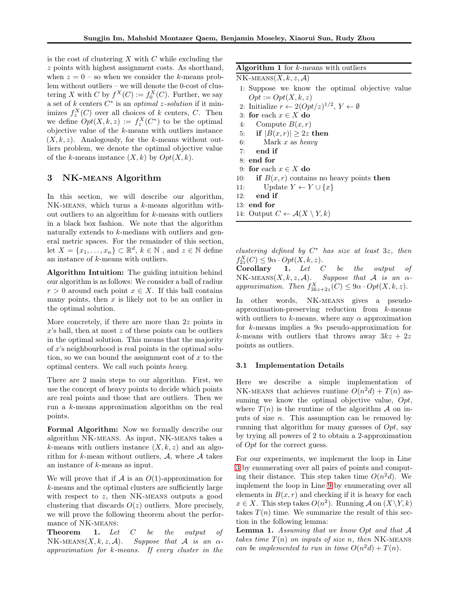is the cost of clustering  $X$  with  $C$  while excluding the z points with highest assignment costs. As shorthand, when  $z = 0$  – so when we consider the k-means problem without outliers – we will denote the 0-cost of clustering X with C by  $f^X(C) := f_0^X(C)$ . Further, we say a set of k centers  $C^*$  is an *optimal* z-solution if it minimizes  $f^X_z(C)$  over all choices of k centers, C. Then we define  $Opt(X, k, z) := f_z^X(C^*)$  to be the optimal objective value of the k-means with outliers instance  $(X, k, z)$ . Analogously, for the k-means without outliers problem, we denote the optimal objective value of the k-means instance  $(X, k)$  by  $Opt(X, k)$ .

## 3 NK-means Algorithm

In this section, we will describe our algorithm,  $NK$ -MEANS, which turns a  $k$ -means algorithm without outliers to an algorithm for k-means with outliers in a black box fashion. We note that the algorithm naturally extends to k-medians with outliers and general metric spaces. For the remainder of this section, let  $X = \{x_1, \ldots, x_n\} \subset \mathbb{R}^d$ ,  $k \in \mathbb{N}$ , and  $z \in \mathbb{N}$  define an instance of k-means with outliers.

Algorithm Intuition: The guiding intuition behind our algorithm is as follows: We consider a ball of radius  $r > 0$  around each point  $x \in X$ . If this ball contains many points, then  $x$  is likely not to be an outlier in the optimal solution.

More concretely, if there are more than  $2z$  points in  $x$ 's ball, then at most  $z$  of these points can be outliers in the optimal solution. This means that the majority of x's neighbourhood is real points in the optimal solution, so we can bound the assignment cost of  $x$  to the optimal centers. We call such points *heavy*.

There are 2 main steps to our algorithm. First, we use the concept of heavy points to decide which points are real points and those that are outliers. Then we run a k-means approximation algorithm on the real points.

Formal Algorithm: Now we formally describe our algorithm NK-means. As input, NK-means takes a k-means with outliers instance  $(X, k, z)$  and an algorithm for k-mean without outliers,  $A$ , where  $A$  takes an instance of k-means as input.

We will prove that if  $A$  is an  $O(1)$ -approximation for k-means and the optimal clusters are sufficiently large with respect to  $z$ , then NK-MEANS outputs a good clustering that discards  $O(z)$  outliers. More precisely, we will prove the following theorem about the performance of NK-means:

<span id="page-4-2"></span>Theorem 1. *Let* C *be the output of*  $NK\text{-}MENTS(X, k, z, \mathcal{A})$ *. Suppose that*  $\mathcal{A}$  *is an*  $\alpha$ *approximation for* k*-means. If every cluster in the*

## <span id="page-4-4"></span>Algorithm 1 for  $k$ -means with outliers

 $NK$ -MEANS $(X, k, z, \mathcal{A})$ 

- 1: Suppose we know the optimal objective value  $Opt := Opt(X, k, z)$
- <span id="page-4-0"></span>2: Initialize  $r \leftarrow 2(Opt/z)^{1/2}, Y \leftarrow \emptyset$
- 3: for each  $x \in X$  do<br>4: Compute  $B(x, r)$
- Compute  $B(x, r)$
- 5: **if**  $|B(x, r)| \ge 2z$  then<br>6: Mark x as heavy
- 6: Mark x as *heavy*
- <span id="page-4-1"></span>7: end if
- 8: end for
- 9: for each  $x \in X$  do<br>10: **if**  $B(x, r)$  contain
- if  $B(x, r)$  contains no heavy points then
- 11: Update  $Y \leftarrow Y \cup \{x\}$ <br>12: **end if**
- end if
- 13: end for
- 14: Output  $C \leftarrow \mathcal{A}(X \setminus Y, k)$

*clustering defined by* C <sup>∗</sup> *has size at least* 3z*, then*  $f_{2z}^X(C) \leq 9\alpha \cdot Opt(X, k, z).$ 

Corollary 1. *Let* C *be the output of*  $NK$ -MEANS $(X, k, z, \mathcal{A})$ . Suppose that  $\mathcal{A}$  is an  $\alpha$ *approximation.* Then  $f_{3kz+2z}^X(C) \leq 9\alpha \cdot Opt(X, k, z)$ .

In other words, NK-means gives a pseudoapproximation-preserving reduction from k-means with outliers to k-means, where any  $\alpha$  approximation for k-means implies a  $9\alpha$  pseudo-approximation for k-means with outliers that throws away  $3kz + 2z$ points as outliers.

#### 3.1 Implementation Details

Here we describe a simple implementation of NK-MEANS that achieves runtime  $O(n^2d) + T(n)$  assuming we know the optimal objective value, Opt, where  $T(n)$  is the runtime of the algorithm A on inputs of size  $n$ . This assumption can be removed by running that algorithm for many guesses of  $Opt$ , say by trying all powers of 2 to obtain a 2-approximation of Opt for the correct guess.

For our experiments, we implement the loop in Line [3](#page-4-0) by enumerating over all pairs of points and computing their distance. This step takes time  $O(n^2d)$ . We implement the loop in Line [9](#page-4-1) by enumerating over all elements in  $B(x, r)$  and checking if it is heavy for each  $x \in X$ . This step takes  $O(n^2)$ . Running A on  $(X \backslash Y, k)$ takes  $T(n)$  time. We summarize the result of this section in the following lemma:

<span id="page-4-3"></span>Lemma 1. *Assuming that we know* Opt *and that* A *takes time*  $T(n)$  *on inputs of size n, then* NK-MEANS *can be implemented to run in time*  $O(n^2d) + T(n)$ *.*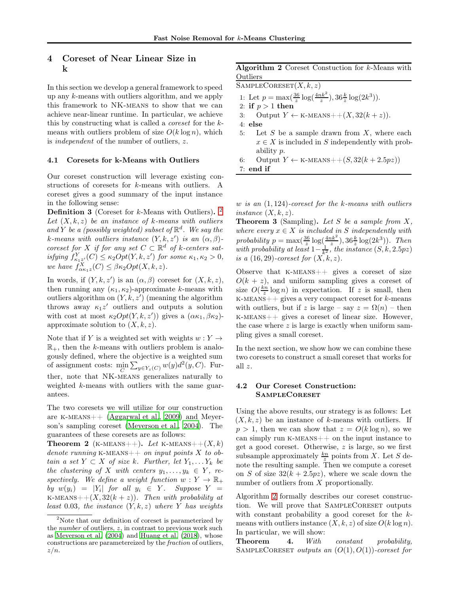# 4 Coreset of Near Linear Size in k

In this section we develop a general framework to speed up any k-means with outliers algorithm, and we apply this framework to NK-means to show that we can achieve near-linear runtime. In particular, we achieve this by constructing what is called a *coreset* for the kmeans with outliers problem of size  $O(k \log n)$ , which is *independent* of the number of outliers, z.

#### <span id="page-5-0"></span>4.1 Coresets for k-Means with Outliers

Our coreset construction will leverage existing constructions of coresets for k-means with outliers. A coreset gives a good summary of the input instance in the following sense:

**Definition 3** (Coreset for k-Means with Outliers). <sup>[2](#page-5-1)</sup> *Let* (X, k, z) *be an instance of* k*-means with outliers* and  $\hat{Y}$  be a (possibly weighted) subset of  $\mathbb{R}^d$ . We say the  $k$ -means with outliers instance  $(Y, k, z')$  *is an*  $(\alpha, \beta)$ - $\overline{\text{coreset for } X}$  *if for any set*  $C \subset \mathbb{R}^d$  *of k*-centers sat*isfying*  $f_{\kappa_1 z'}^Y(C) \leq \kappa_2 Opt(Y, k, z')$  *for some*  $\kappa_1, \kappa_2 > 0$ *, we have*  $f_{\alpha \kappa_1 z}^X(C) \leq \beta \kappa_2 Opt(X, k, z)$ *.* 

In words, if  $(Y, k, z')$  is an  $(\alpha, \beta)$  coreset for  $(X, k, z)$ , then running any  $(\kappa_1, \kappa_2)$ -approximate k-means with outliers algorithm on  $(Y, k, z')$  (meaning the algorithm throws away  $\kappa_1 z'$  outliers and outputs a solution with cost at most  $\kappa_2 Opt(Y, k, z')$  gives a  $(\alpha \kappa_1, \beta \kappa_2)$ approximate solution to  $(X, k, z)$ .

Note that if Y is a weighted set with weights  $w: Y \rightarrow$  $\mathbb{R}_+$ , then the k-means with outliers problem is analogously defined, where the objective is a weighted sum of assignment costs:  $\min_{C} \sum_{y \in Y_z(C)} w(y) d^2(y, C)$ . Further, note that NK-means generalizes naturally to weighted k-means with outliers with the same guarantees.

The two coresets we will utilize for our construction are K-MEANS $++$  [\(Aggarwal et al.](#page-8-10), [2009\)](#page-8-10) and Meyerson's sampling coreset [\(Meyerson et al.](#page-9-10), [2004\)](#page-9-10). The guarantees of these coresets are as follows:

<span id="page-5-4"></span>**Theorem 2** (K-MEANS++). Let K-MEANS++ $(X, k)$ *denote running* k-means++ *on input points* X *to obtain a set*  $Y \subset X$  *of size* k*. Further, let*  $Y_1, \ldots, Y_k$  *be the clustering of* X *with centers*  $y_1, \ldots, y_k \in Y$ *, respectively.* We define a weight function  $w: Y \to \mathbb{R}_+$  $by \t w(y_i) = |Y_i| \t for \t all \t y_i \t F. \t Suppose \t Y =$ K-MEANS $++(X, 32(k + z))$ *. Then with probability at least* 0.03*, the instance* (Y, k, z) *where* Y *has weights*

|          |  | <b>Algorithm 2</b> Coreset Constuction for k-Means with |  |  |
|----------|--|---------------------------------------------------------|--|--|
| Outliers |  |                                                         |  |  |

| $\text{SAMPLECOREST}(X, k, z)$                                                   |
|----------------------------------------------------------------------------------|
| 1: Let $p = \max(\frac{36}{z} \log(\frac{4nk^2}{z}), 36\frac{k}{z} \log(2k^3)).$ |
| 2: if $p > 1$ then                                                               |
| 3: Output $Y \leftarrow \text{\tiny K-MEANS++}(X, 32(k+z)).$                     |
| $4:$ else                                                                        |
| Let S be a sample drawn from $X$ , where each<br>5:                              |
| $x \in X$ is included in S independently with prob-                              |
| ability $p$ .                                                                    |
| Output $Y \leftarrow \text{k-MEANS} + (S, 32(k+2.5pz))$<br>6:                    |
| $7:$ end if                                                                      |

<span id="page-5-2"></span>w *is an* (1, 124)*-coreset for the* k*-means with outliers instance*  $(X, k, z)$ *.* 

<span id="page-5-5"></span>Theorem 3 (Sampling). *Let* S *be a sample from* X*, where every*  $x \in X$  *is included in* S *independently with* probability  $p = \max(\frac{36}{z} \log(\frac{4nk^2}{z}), 36\frac{k}{z} \log(2k^3))$ . Then *with probability at least*  $1 - \frac{1}{k^2}$ , *the instance*  $(S, k, 2.5pz)$ *is a*  $(16, 29)$ *-coreset for*  $(X, k, z)$ *.* 

Observe that  $K-MEANS++$  gives a coreset of size  $O(k + z)$ , and uniform sampling gives a coreset of size  $O(\frac{kn}{z} \log n)$  in expectation. If z is small, then K-MEANS $++$  gives a very compact coreset for k-means with outliers, but if z is large – say  $z = \Omega(n)$  – then k-means++ gives a coreset of linear size. However, the case where  $z$  is large is exactly when uniform sampling gives a small coreset.

In the next section, we show how we can combine these two coresets to construct a small coreset that works for all z.

## 4.2 Our Coreset Construction: **SAMPLECORESET**

Using the above results, our strategy is as follows: Let  $(X, k, z)$  be an instance of k-means with outliers. If  $p > 1$ , then we can show that  $z = O(k \log n)$ , so we can simply run  $K-MEANS++$  on the input instance to get a good coreset. Otherwise, z is large, so we first subsample approximately  $\frac{k n}{z}$  points from X. Let S denote the resulting sample. Then we compute a coreset on S of size  $32(k + 2.5pz)$ , where we scale down the number of outliers from X proportionally.

Algorithm [2](#page-5-2) formally describes our coreset construction. We will prove that SAMPLECORESET outputs with constant probability a good coreset for the  $k$ means with outliers instance  $(X, k, z)$  of size  $O(k \log n)$ . In particular, we will show:

<span id="page-5-3"></span>Theorem 4. *With constant probability,* SampleCoreset *outputs an* (O(1), O(1))*-coreset for*

<span id="page-5-1"></span><sup>2</sup>Note that our definition of coreset is parameterized by the number of outliers, z, in contrast to previous work such as [Meyerson et al. \(2004](#page-9-10)) and [Huang et al. \(2018](#page-9-12)), whose constructions are parametereized by the fraction of outliers,  $z/n$ .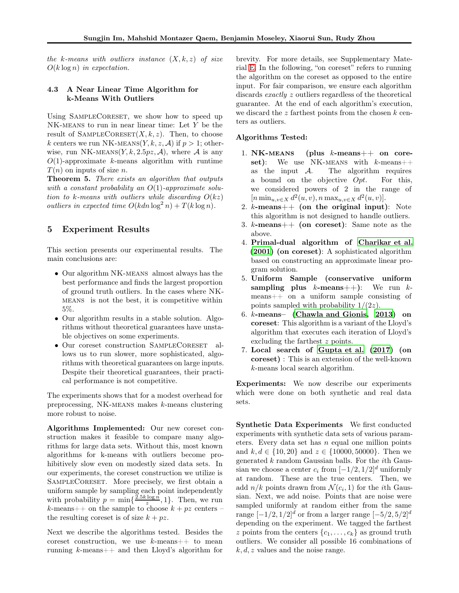*the* k*-means with outliers instance* (X, k, z) *of size* O(k log n) *in expectation.*

## 4.3 A Near Linear Time Algorithm for k-Means With Outliers

Using SAMPLECORESET, we show how to speed up  $NK$ -MEANS to run in near linear time: Let  $Y$  be the result of SAMPLECORESET $(X, k, z)$ . Then, to choose k centers we run NK-MEANS $(Y, k, z, A)$  if  $p > 1$ ; otherwise, run NK-MEANS $(Y, k, 2.5pz, \mathcal{A})$ , where  $\mathcal A$  is any  $O(1)$ -approximate k-means algorithm with runtime  $T(n)$  on inputs of size n.

<span id="page-6-0"></span>Theorem 5. *There exists an algorithm that outputs with a constant probability an* O(1)*-approximate solution to* k*-means with outliers while discarding* O(kz) *outliers in expected time*  $O(kdn \log^2 n) + T(k \log n)$ *.* 

## 5 Experiment Results

This section presents our experimental results. The main conclusions are:

- Our algorithm NK-means almost always has the best performance and finds the largest proportion of ground truth outliers. In the cases where NKmeans is not the best, it is competitive within 5%.
- Our algorithm results in a stable solution. Algorithms without theoretical guarantees have unstable objectives on some experiments.
- Our coreset construction SampleCoreset allows us to run slower, more sophisticated, algorithms with theoretical guarantees on large inputs. Despite their theoretical guarantees, their practical performance is not competitive.

The experiments shows that for a modest overhead for preprocessing, NK-means makes k-means clustering more robust to noise.

Algorithms Implemented: Our new coreset construction makes it feasible to compare many algorithms for large data sets. Without this, most known algorithms for k-means with outliers become prohibitively slow even on modestly sized data sets. In our experiments, the coreset construction we utilize is SAMPLECORESET. More precisely, we first obtain a uniform sample by sampling each point independently with probability  $p = \min\{\frac{2.5k \log n}{z}, 1\}$ . Then, we run k-means++ on the sample to choose  $k + pz$  centers – the resulting coreset is of size  $k + pz$ .

Next we describe the algorithms tested. Besides the coreset construction, we use  $k$ -means++ to mean running  $k$ -means++ and then Lloyd's algorithm for brevity. For more details, see Supplementary Material [E.](#page-14-0) In the following, "on coreset" refers to running the algorithm on the coreset as opposed to the entire input. For fair comparison, we ensure each algorithm discards *exactly* z outliers regardless of the theoretical guarantee. At the end of each algorithm's execution, we discard the  $z$  farthest points from the chosen  $k$  centers as outliers.

#### Algorithms Tested:

- 1. NK-MEANS (plus  $k$ -means++ on coreset): We use NK-MEANS with  $k$ -means++ as the input  $A$ . The algorithm requires<br>a bound on the objective  $Opt$ . For this, a bound on the objective  $Opt.$ we considered powers of 2 in the range of  $[n \min_{u,v \in X} d^2(u,v), n \max_{u,v \in X} d^2(u,v)].$
- 2.  $k$ -means  $++$  (on the original input): Note this algorithm is not designed to handle outliers.
- 3. k-means  $++$  (on coreset): Same note as the above.
- 4. Primal-dual algorithm of [Charikar et al.](#page-8-4) [\(2001\)](#page-8-4) (on coreset): A sophisticated algorithm based on constructing an approximate linear program solution.
- 5. Uniform Sample (conservative uniform sampling plus  $k$ -means $++$ ): We run  $k$ means++ on a uniform sample consisting of points sampled with probability  $1/(2z)$ .
- 6. k-means– [\(Chawla and Gionis](#page-8-5), [2013\)](#page-8-5) on coreset: This algorithm is a variant of the Lloyd's algorithm that executes each iteration of Lloyd's excluding the farthest z points.
- 7. Local search of [Gupta et al.](#page-9-8) [\(2017\)](#page-9-8) (on coreset) : This is an extension of the well-known k-means local search algorithm.

Experiments: We now describe our experiments which were done on both synthetic and real data sets.

Synthetic Data Experiments We first conducted experiments with synthetic data sets of various parameters. Every data set has  $n$  equal one million points and  $k, d \in \{10, 20\}$  and  $z \in \{10000, 50000\}$ . Then we generated  $k$  random Gaussian balls. For the *i*th Gaussian we choose a center  $c_i$  from  $[-1/2, 1/2]^d$  uniformly at random. These are the true centers. Then, we add  $n/k$  points drawn from  $\mathcal{N}(c_i, 1)$  for the *i*th Gaussian. Next, we add noise. Points that are noise were sampled uniformly at random either from the same range  $[-1/2, 1/2]^d$  or from a larger range  $[-5/2, 5/2]^d$ depending on the experiment. We tagged the farthest z points from the centers  $\{c_1, \ldots, c_k\}$  as ground truth outliers. We consider all possible 16 combinations of  $k, d, z$  values and the noise range.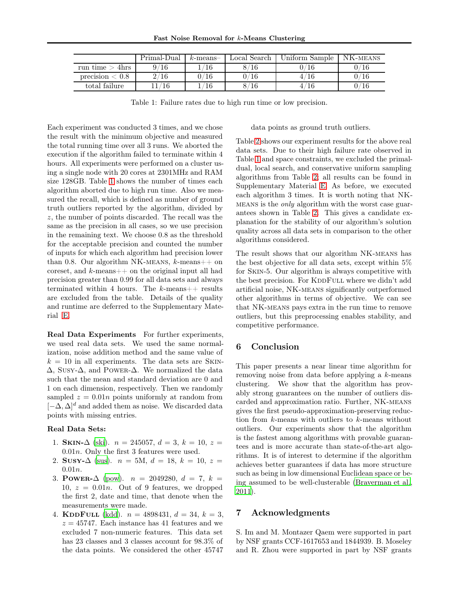Fast Noise Removal for k-Means Clustering

<span id="page-7-0"></span>

|                   | Primal-Dual | $k$ -means- | Local Search | Uniform Sample | NK-MEANS |
|-------------------|-------------|-------------|--------------|----------------|----------|
| run time $>$ 4hrs | '16         | ΄16         | Ί6           | /16            | 0/16     |
| precision $< 0.8$ | '16         | )/16        | $\sqrt{16}$  | /16            | 0/16     |
| total failure     |             | 16          | 16           | 16             | ΄16      |

Table 1: Failure rates due to high run time or low precision.

Each experiment was conducted 3 times, and we chose the result with the minimum objective and measured the total running time over all 3 runs. We aborted the execution if the algorithm failed to terminate within 4 hours. All experiments were performed on a cluster using a single node with 20 cores at 2301MHz and RAM size 128GB. Table [1](#page-7-0) shows the number of times each algorithm aborted due to high run time. Also we measured the recall, which is defined as number of ground truth outliers reported by the algorithm, divided by z, the number of points discarded. The recall was the same as the precision in all cases, so we use precision in the remaining text. We choose 0.8 as the threshold for the acceptable precision and counted the number of inputs for which each algorithm had precision lower than 0.8. Our algorithm NK-MEANS,  $k$ -means++ on coreset, and  $k$ -means  $++$  on the original input all had precision greater than 0.99 for all data sets and always terminated within 4 hours. The  $k$ -means++ results are excluded from the table. Details of the quality and runtime are deferred to the Supplementary Material [E.](#page-14-0)

Real Data Experiments For further experiments, we used real data sets. We used the same normalization, noise addition method and the same value of  $k = 10$  in all experiments. The data sets are SKIN-∆, Susy-∆, and Power-∆. We normalized the data such that the mean and standard deviation are 0 and 1 on each dimension, respectively. Then we randomly sampled  $z = 0.01n$  points uniformly at random from  $[-\Delta, \Delta]^d$  and added them as noise. We discarded data points with missing entries.

#### Real Data Sets:

- 1. SKIN-Δ [\(ski\)](#page-8-11).  $n = 245057$ ,  $d = 3$ ,  $k = 10$ ,  $z =$  $0.01n$ . Only the first 3 features were used.
- 2. SUSY- $\Delta$  [\(sus](#page-8-12)).  $n = 5M$ ,  $d = 18$ ,  $k = 10$ ,  $z =$  $0.01n$ .
- 3. **POWER-** $\Delta$  [\(pow\)](#page-8-13).  $n = 2049280, d = 7, k =$ 10,  $z = 0.01n$ . Out of 9 features, we dropped the first 2, date and time, that denote when the measurements were made.
- 4. **KDDFULL** [\(kdd\)](#page-8-14).  $n = 4898431$ ,  $d = 34$ ,  $k = 3$ ,  $z = 45747$ . Each instance has 41 features and we excluded 7 non-numeric features. This data set has 23 classes and 3 classes account for 98.3% of the data points. We considered the other 45747

data points as ground truth outliers.

Table [2](#page-8-15) shows our experiment results for the above real data sets. Due to their high failure rate observed in Table [1](#page-7-0) and space constraints, we excluded the primaldual, local search, and conservative uniform sampling algorithms from Table [2;](#page-8-15) all results can be found in Supplementary Material [E.](#page-14-0) As before, we executed each algorithm 3 times. It is worth noting that NKmeans is the *only* algorithm with the worst case guarantees shown in Table [2.](#page-8-15) This gives a candidate explanation for the stability of our algorithm's solution quality across all data sets in comparison to the other algorithms considered.

The result shows that our algorithm NK-means has the best objective for all data sets, except within 5% for Skin-5. Our algorithm is always competitive with the best precision. For KDDFULL where we didn't add artificial noise, NK-means significantly outperformed other algorithms in terms of objective. We can see that NK-means pays extra in the run time to remove outliers, but this preprocessing enables stability, and competitive performance.

## 6 Conclusion

This paper presents a near linear time algorithm for removing noise from data before applying a k-means clustering. We show that the algorithm has provably strong guarantees on the number of outliers discarded and approximation ratio. Further, NK-means gives the first pseudo-approximation-preserving reduction from k-means with outliers to k-means without outliers. Our experiments show that the algorithm is the fastest among algorithms with provable guarantees and is more accurate than state-of-the-art algorithms. It is of interest to determine if the algorithm achieves better guarantees if data has more structure such as being in low dimensional Euclidean space or being assumed to be well-clusterable [\(Braverman et al.,](#page-8-16) [2011\)](#page-8-16).

### 7 Acknowledgments

S. Im and M. Montazer Qaem were supported in part by NSF grants CCF-1617653 and 1844939. B. Moseley and R. Zhou were supported in part by NSF grants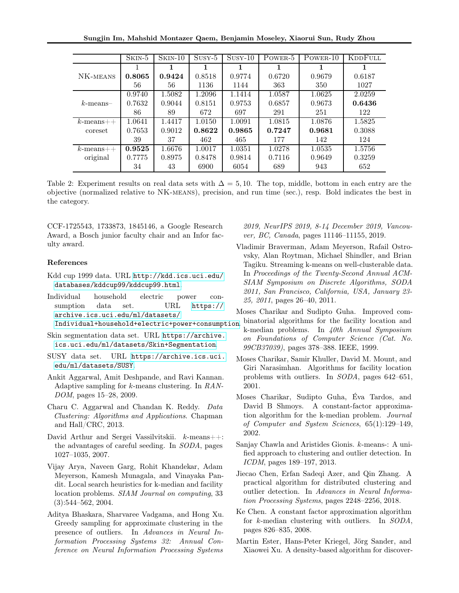Sungjin Im, Mahshid Montazer Qaem, Benjamin Moseley, Xiaorui Sun, Rudy Zhou

<span id="page-8-15"></span>

|                 | SKIN-5 | $SKIN-10$ | SUSY-5 | $SUSY-10$ | POWER-5 | POWER-10 | KDDFULL |
|-----------------|--------|-----------|--------|-----------|---------|----------|---------|
|                 |        |           | ı      |           |         |          |         |
| NK-MEANS        | 0.8065 | 0.9424    | 0.8518 | 0.9774    | 0.6720  | 0.9679   | 0.6187  |
|                 | 56     | 56        | 1136   | 1144      | 363     | 350      | 1027    |
|                 | 0.9740 | 1.5082    | 1.2096 | 1.1414    | 1.0587  | 1.0625   | 2.0259  |
| $k$ -means-     | 0.7632 | 0.9044    | 0.8151 | 0.9753    | 0.6857  | 0.9673   | 0.6436  |
|                 | 86     | 89        | 672    | 697       | 291     | 251      | 122     |
| $k$ -means $++$ | 1.0641 | 1.4417    | 1.0150 | 1.0091    | 1.0815  | 1.0876   | 1.5825  |
| coreset         | 0.7653 | 0.9012    | 0.8622 | 0.9865    | 0.7247  | 0.9681   | 0.3088  |
|                 | 39     | 37        | 462    | 465       | 177     | 142      | 124     |
| $k$ -means $++$ | 0.9525 | 1.6676    | 1.0017 | 1.0351    | 1.0278  | 1.0535   | 1.5756  |
| original        | 0.7775 | 0.8975    | 0.8478 | 0.9814    | 0.7116  | 0.9649   | 0.3259  |
|                 | 34     | 43        | 6900   | 6054      | 689     | 943      | 652     |

Table 2: Experiment results on real data sets with  $\Delta = 5, 10$ . The top, middle, bottom in each entry are the objective (normalized relative to NK-means), precision, and run time (sec.), resp. Bold indicates the best in the category.

CCF-1725543, 1733873, 1845146, a Google Research Award, a Bosch junior faculty chair and an Infor faculty award.

#### References

- <span id="page-8-14"></span>Kdd cup 1999 data. URL [http://kdd.ics.uci.edu/](http://kdd.ics.uci.edu/databases/kddcup99/kddcup99.html) [databases/kddcup99/kddcup99.html](http://kdd.ics.uci.edu/databases/kddcup99/kddcup99.html).
- <span id="page-8-13"></span>Individual household electric power consumption data set. URL [https://](https://archive.ics.uci.edu/ml/datasets/Individual+household+electric+power+consumption) [archive.ics.uci.edu/ml/datasets/](https://archive.ics.uci.edu/ml/datasets/Individual+household+electric+power+consumption) [Individual+household+electric+power+consumption](https://archive.ics.uci.edu/ml/datasets/Individual+household+electric+power+consumption).
- <span id="page-8-11"></span>Skin segmentation data set. URL [https://archive.](https://archive.ics.uci.edu/ml/datasets/Skin+Segmentation) [ics.uci.edu/ml/datasets/Skin+Segmentation](https://archive.ics.uci.edu/ml/datasets/Skin+Segmentation).
- <span id="page-8-12"></span>SUSY data set. URL [https://archive.ics.uci.](https://archive.ics.uci.edu/ml/datasets/SUSY) [edu/ml/datasets/SUSY](https://archive.ics.uci.edu/ml/datasets/SUSY).
- <span id="page-8-10"></span>Ankit Aggarwal, Amit Deshpande, and Ravi Kannan. Adaptive sampling for k-means clustering. In *RAN-DOM*, pages 15–28, 2009.
- <span id="page-8-6"></span>Charu C. Aggarwal and Chandan K. Reddy. *Data Clustering: Algorithms and Applications*. Chapman and Hall/CRC, 2013.
- <span id="page-8-1"></span>David Arthur and Sergei Vassilvitskii.  $k$ -means $++$ : the advantages of careful seeding. In *SODA*, pages 1027–1035, 2007.
- <span id="page-8-7"></span>Vijay Arya, Naveen Garg, Rohit Khandekar, Adam Meyerson, Kamesh Munagala, and Vinayaka Pandit. Local search heuristics for k-median and facility location problems. *SIAM Journal on computing*, 33 (3):544–562, 2004.
- Aditya Bhaskara, Sharvaree Vadgama, and Hong Xu. Greedy sampling for approximate clustering in the presence of outliers. In *Advances in Neural Information Processing Systems 32: Annual Conference on Neural Information Processing Systems*

*2019, NeurIPS 2019, 8-14 December 2019, Vancouver, BC, Canada*, pages 11146–11155, 2019.

- <span id="page-8-16"></span>Vladimir Braverman, Adam Meyerson, Rafail Ostrovsky, Alan Roytman, Michael Shindler, and Brian Tagiku. Streaming k-means on well-clusterable data. In *Proceedings of the Twenty-Second Annual ACM-SIAM Symposium on Discrete Algorithms, SODA 2011, San Francisco, California, USA, January 23- 25, 2011*, pages 26–40, 2011.
- <span id="page-8-0"></span>Moses Charikar and Sudipto Guha. Improved combinatorial algorithms for the facility location and k-median problems. In *40th Annual Symposium on Foundations of Computer Science (Cat. No. 99CB37039)*, pages 378–388. IEEE, 1999.
- <span id="page-8-4"></span>Moses Charikar, Samir Khuller, David M. Mount, and Giri Narasimhan. Algorithms for facility location problems with outliers. In *SODA*, pages 642–651, 2001.
- <span id="page-8-8"></span>Moses Charikar, Sudipto Guha, Éva Tardos, and David B Shmoys. A constant-factor approximation algorithm for the k-median problem. *Journal of Computer and System Sciences*, 65(1):129–149, 2002.
- <span id="page-8-5"></span>Sanjay Chawla and Aristides Gionis. k-means-: A unified approach to clustering and outlier detection. In *ICDM*, pages 189–197, 2013.
- <span id="page-8-9"></span>Jiecao Chen, Erfan Sadeqi Azer, and Qin Zhang. A practical algorithm for distributed clustering and outlier detection. In *Advances in Neural Information Processing Systems*, pages 2248–2256, 2018.
- <span id="page-8-3"></span>Ke Chen. A constant factor approximation algorithm for k-median clustering with outliers. In *SODA*, pages 826–835, 2008.
- <span id="page-8-2"></span>Martin Ester, Hans-Peter Kriegel, Jörg Sander, and Xiaowei Xu. A density-based algorithm for discover-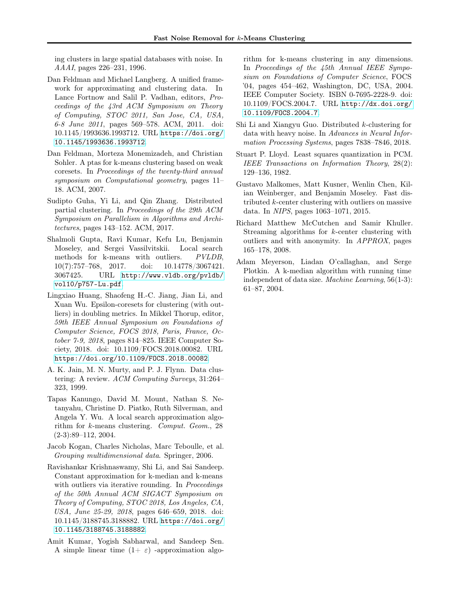ing clusters in large spatial databases with noise. In *AAAI*, pages 226–231, 1996.

- <span id="page-9-11"></span>Dan Feldman and Michael Langberg. A unified framework for approximating and clustering data. In Lance Fortnow and Salil P. Vadhan, editors, *Proceedings of the 43rd ACM Symposium on Theory of Computing, STOC 2011, San Jose, CA, USA, 6-8 June 2011*, pages 569–578. ACM, 2011. doi: 10.1145/1993636.1993712. URL [https://doi.org/](https://doi.org/10.1145/1993636.1993712) [10.1145/1993636.1993712](https://doi.org/10.1145/1993636.1993712).
- <span id="page-9-2"></span>Dan Feldman, Morteza Monemizadeh, and Christian Sohler. A ptas for k-means clustering based on weak coresets. In *Proceedings of the twenty-third annual symposium on Computational geometry*, pages 11– 18. ACM, 2007.
- <span id="page-9-5"></span>Sudipto Guha, Yi Li, and Qin Zhang. Distributed partial clustering. In *Proceedings of the 29th ACM Symposium on Parallelism in Algorithms and Architectures*, pages 143–152. ACM, 2017.
- <span id="page-9-8"></span>Shalmoli Gupta, Ravi Kumar, Kefu Lu, Benjamin Moseley, and Sergei Vassilvitskii. Local search methods for k-means with outliers. *PVLDB*, 10(7):757–768, 2017. doi: 10.14778/3067421. 3067425. URL [http://www.vldb.org/pvldb/](http://www.vldb.org/pvldb/vol10/p757-Lu.pdf) [vol10/p757-Lu.pdf](http://www.vldb.org/pvldb/vol10/p757-Lu.pdf).
- <span id="page-9-12"></span>Lingxiao Huang, Shaofeng H.-C. Jiang, Jian Li, and Xuan Wu. Epsilon-coresets for clustering (with outliers) in doubling metrics. In Mikkel Thorup, editor, *59th IEEE Annual Symposium on Foundations of Computer Science, FOCS 2018, Paris, France, October 7-9, 2018*, pages 814–825. IEEE Computer Society, 2018. doi: 10.1109/FOCS.2018.00082. URL <https://doi.org/10.1109/FOCS.2018.00082>.
- <span id="page-9-14"></span>A. K. Jain, M. N. Murty, and P. J. Flynn. Data clustering: A review. *ACM Computing Surveys*, 31:264– 323, 1999.
- <span id="page-9-0"></span>Tapas Kanungo, David M. Mount, Nathan S. Netanyahu, Christine D. Piatko, Ruth Silverman, and Angela Y. Wu. A local search approximation algorithm for k-means clustering. *Comput. Geom.*, 28  $(2-3):89-112, 2004.$
- <span id="page-9-13"></span>Jacob Kogan, Charles Nicholas, Marc Teboulle, et al. *Grouping multidimensional data*. Springer, 2006.
- <span id="page-9-9"></span>Ravishankar Krishnaswamy, Shi Li, and Sai Sandeep. Constant approximation for k-median and k-means with outliers via iterative rounding. In *Proceedings of the 50th Annual ACM SIGACT Symposium on Theory of Computing, STOC 2018, Los Angeles, CA, USA, June 25-29, 2018*, pages 646–659, 2018. doi: 10.1145/3188745.3188882. URL [https://doi.org/](https://doi.org/10.1145/3188745.3188882) [10.1145/3188745.3188882](https://doi.org/10.1145/3188745.3188882).
- <span id="page-9-1"></span>Amit Kumar, Yogish Sabharwal, and Sandeep Sen. A simple linear time  $(1+\varepsilon)$  -approximation algo-

rithm for k-means clustering in any dimensions. In *Proceedings of the 45th Annual IEEE Symposium on Foundations of Computer Science*, FOCS '04, pages 454–462, Washington, DC, USA, 2004. IEEE Computer Society. ISBN 0-7695-2228-9. doi: 10.1109/FOCS.2004.7. URL [http://dx.doi.org/](http://dx.doi.org/10.1109/FOCS.2004.7) [10.1109/FOCS.2004.7](http://dx.doi.org/10.1109/FOCS.2004.7).

- <span id="page-9-7"></span>Shi Li and Xiangyu Guo. Distributed k-clustering for data with heavy noise. In *Advances in Neural Information Processing Systems*, pages 7838–7846, 2018.
- <span id="page-9-3"></span>Stuart P. Lloyd. Least squares quantization in PCM. *IEEE Transactions on Information Theory*, 28(2): 129–136, 1982.
- <span id="page-9-6"></span>Gustavo Malkomes, Matt Kusner, Wenlin Chen, Kilian Weinberger, and Benjamin Moseley. Fast distributed k-center clustering with outliers on massive data. In *NIPS*, pages 1063–1071, 2015.
- <span id="page-9-4"></span>Richard Matthew McCutchen and Samir Khuller. Streaming algorithms for k-center clustering with outliers and with anonymity. In *APPROX*, pages 165–178, 2008.
- <span id="page-9-10"></span>Adam Meyerson, Liadan O'callaghan, and Serge Plotkin. A k-median algorithm with running time independent of data size. *Machine Learning*, 56(1-3): 61–87, 2004.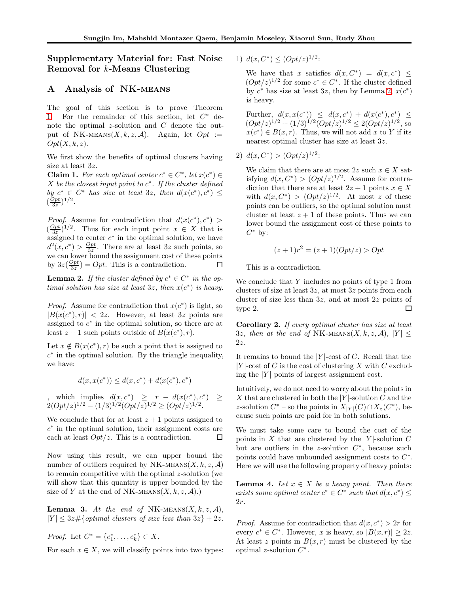Supplementary Material for: Fast Noise Removal for k-Means Clustering

# A Analysis of NK-means

The goal of this section is to prove Theorem [1.](#page-4-2) For the remainder of this section, let  $C^*$  denote the optimal  $z$ -solution and  $C$  denote the output of NK-MEANS $(X, k, z, A)$ . Again, let  $Opt :=$  $Opt(X, k, z)$ .

We first show the benefits of optimal clusters having size at least 3z.

**Claim 1.** For each optimal center  $c^* \in C^*$ , let  $x(c^*) \in C$ X *be the closest input point to* c ∗ *. If the cluster defined by*  $c^*$  ∈  $C^*$  *has size at least 3z, then*  $d(x(c^*), c^*)$  ≤  $(\frac{Opt}{3z})^{1/2}.$ 

*Proof.* Assume for contradiction that  $d(x(c^*), c^*)$  $\left(\frac{Opt}{3z}\right)^{1/2}$ . Thus for each input point  $x \in X$  that is assigned to center  $c^*$  in the optimal solution, we have  $d^2(x, c^*)$  >  $\frac{Opt}{3z}$ . There are at least 3z such points, so we can lower bound the assignment cost of these points by  $3z(\frac{Opt}{3z}) = Opt$ . This is a contradiction.  $\Box$ 

<span id="page-10-0"></span>**Lemma 2.** *If the cluster defined by*  $c^* \in C^*$  *in the optimal solution has size at least*  $3z$ *, then*  $x(c^*)$  *is heavy.* 

*Proof.* Assume for contradiction that  $x(c^*)$  is light, so  $|B(x(c^*), r)| < 2z$ . However, at least 3z points are assigned to  $c^*$  in the optimal solution, so there are at least  $z + 1$  such points outside of  $B(x(c^*), r)$ .

Let  $x \notin B(x(c^*), r)$  be such a point that is assigned to  $c^*$  in the optimal solution. By the triangle inequality, we have:

$$
d(x, x(c^*)) \le d(x, c^*) + d(x(c^*), c^*)
$$

, which implies 
$$
d(x, c^*) \ge r - d(x(c^*), c^*) \ge
$$
  
2(*Opt/z*)<sup>1/2</sup> - (1/3)<sup>1/2</sup>(*Opt/z*)<sup>1/2</sup>  $\ge$  (*Opt/z*)<sup>1/2</sup>.

We conclude that for at least  $z + 1$  points assigned to  $c^*$  in the optimal solution, their assignment costs are each at least  $Opt/z$ . This is a contradiction.  $\Box$ 

Now using this result, we can upper bound the number of outliers required by NK-MEANS $(X, k, z, A)$ to remain competitive with the optimal z-solution (we will show that this quantity is upper bounded by the size of Y at the end of NK-MEANS $(X, k, z, A)$ .)

**Lemma 3.** At the end of NK-MEANS $(X, k, z, A)$ ,  $|Y| \leq 3z \# \{ optimal clusters of size less than 3z\} + 2z.$ 

*Proof.* Let  $C^* = \{c_1^*, \ldots, c_k^*\} \subset X$ .

For each  $x \in X$ , we will classify points into two types:

1)  $d(x, C^*) \leq (Opt/z)^{1/2}$ :

We have that x satisfies  $d(x, C^*) = d(x, c^*) \le$  $(Opt/z)^{1/2}$  for some  $c^* \in C^*$ . If the cluster defined by  $c^*$  has size at least 3z, then by Lemma [2,](#page-10-0)  $x(c^*)$ is heavy.

Further,  $d(x, x(c^*)) \leq d(x, c^*) + d(x(c^*), c^*) \leq$  $(Opt/z)^{1/2} + (1/3)^{1/2} (Opt/z)^{1/2} \leq 2(Opt/z)^{1/2}$ , so  $x(c^*) \in B(x,r)$ . Thus, we will not add x to Y if its nearest optimal cluster has size at least 3z.

2)  $d(x, C^*)$  >  $(Opt/z)^{1/2}$ :

We claim that there are at most  $2z$  such  $x \in X$  satisfying  $d(x, C^*) > (Opt/z)^{1/2}$ . Assume for contradiction that there are at least  $2z + 1$  points  $x \in X$ with  $d(x, C^*) > (Opt/z)^{1/2}$ . At most z of these points can be outliers, so the optimal solution must cluster at least  $z + 1$  of these points. Thus we can lower bound the assignment cost of these points to  $C^*$  by:

$$
(z+1)r^2 = (z+1)(Opt/z) > Opt
$$

This is a contradiction.

We conclude that  $Y$  includes no points of type 1 from clusters of size at least  $3z$ , at most  $3z$  points from each cluster of size less than 3z, and at most 2z points of type 2. □

<span id="page-10-1"></span>Corollary 2. *If every optimal cluster has size at least* 3z, then at the end of NK-MEANS $(X, k, z, A)$ ,  $|Y| \leq$ 2z*.*

It remains to bound the  $|Y|$ -cost of C. Recall that the  $|Y|$ -cost of C is the cost of clustering X with C excluding the  $|Y|$  points of largest assignment cost.

Intuitively, we do not need to worry about the points in X that are clustered in both the  $|Y|$ -solution C and the z-solution  $C^*$  – so the points in  $X_{|Y|}(C) \cap X_z(C^*)$ , because such points are paid for in both solutions.

We must take some care to bound the cost of the points in X that are clustered by the  $|Y|$ -solution C but are outliers in the z-solution  $C^*$ , because such points could have unbounded assignment costs to  $C^*$ . Here we will use the following property of heavy points:

**Lemma 4.** Let  $x \in X$  be a heavy point. Then there  $exists some optimal center c^* \in C^* such that d(x, c^*) \leq$ 2r*.*

*Proof.* Assume for contradiction that  $d(x, c^*) > 2r$  for every  $c^* \in C^*$ . However, x is heavy, so  $|B(x,r)| \geq 2z$ . At least z points in  $B(x, r)$  must be clustered by the optimal  $z$ -solution  $C^*$ .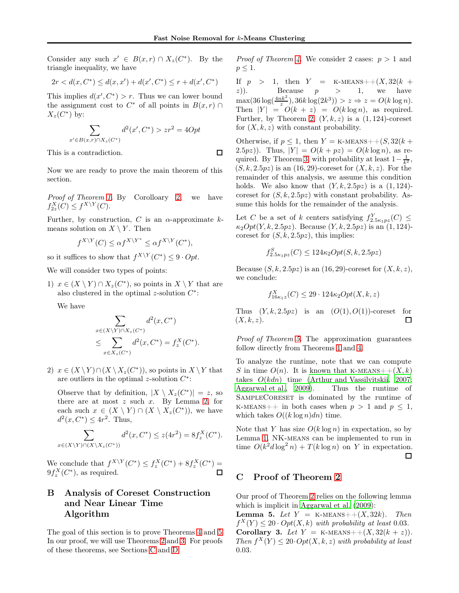$\Box$ 

Consider any such  $x' \in B(x,r) \cap X_z(C^*)$ . By the triangle inequality, we have

$$
2r < d(x, C^*) \le d(x, x') + d(x', C^*) \le r + d(x', C^*)
$$

This implies  $d(x', C^*) > r$ . Thus we can lower bound the assignment cost to  $C^*$  of all points in  $B(x,r) \cap$  $X_z(C^*)$  by:

$$
\sum_{x' \in B(x,r) \cap X_z(C^*)} d^2(x', C^*) > zr^2 = 4Opt
$$

This is a contradiction.

Now we are ready to prove the main theorem of this section.

*Proof of Theorem [1.](#page-4-2)* By Corolloary [2,](#page-10-1) we have  $f_{2z}^X(C) \leq f^{X \setminus Y}(C).$ 

Further, by construction, C is an  $\alpha$ -approximate kmeans solution on  $X \setminus Y$ . Then

$$
f^{X\setminus Y}(C) \le \alpha f^{X\setminus Y^*} \le \alpha f^{X\setminus Y}(C^*),
$$

so it suffices to show that  $f^{X\setminus Y}(C^*) \leq 9 \cdot Opt$ .

We will consider two types of points:

1)  $x \in (X \setminus Y) \cap X_z(C^*)$ , so points in  $X \setminus Y$  that are also clustered in the optimal  $z$ -solution  $C^*$ :

We have

$$
\sum_{x \in (X \setminus Y) \cap X_z(C^*)} d^2(x, C^*)
$$
  
\n
$$
\leq \sum_{x \in X_z(C^*)} d^2(x, C^*) = f_z^X(C^*).
$$

2)  $x \in (X \setminus Y) \cap (X \setminus X_z(C^*)),$  so points in  $X \setminus Y$  that are outliers in the optimal z-solution  $C^*$ :

Observe that by definition,  $|X \setminus X_z(C^*)| = z$ , so there are at most  $z$  such  $x$ . By Lemma [2,](#page-10-0) for each such  $x \in (X \setminus Y) \cap (X \setminus X_z(C^*)),$  we have  $d^2(x, C^*) \le 4r^2$ . Thus,

$$
\sum_{x \in (X \setminus Y) \cap (X \setminus X_z(C^*))} d^2(x, C^*) \le z(4r^2) = 8f_z^X(C^*).
$$

We conclude that  $f^{X\setminus Y}(C^*) \leq f^X_z(C^*) + 8f^X_z(C^*) =$  $9f_z^X(C^*)$ , as required.  $\Box$ 

# B Analysis of Coreset Construction and Near Linear Time Algorithm

The goal of this section is to prove Theorems [4](#page-5-3) and [5.](#page-6-0) In our proof, we will use Theorems [2](#page-5-4) and [3.](#page-5-5) For proofs of these theorems, see Sections [C](#page-11-0) and [D.](#page-12-0)

*Proof of Theorem [4.](#page-5-3)* We consider 2 cases:  $p > 1$  and  $p \leq 1$ .

If  $p > 1$ , then  $Y = K-MEANS++(X, 32(k +$  $(z)$ ). Because  $p > 1$ , we have  $\max(36\log(\frac{4nk^2}{z}), 36k\log(2k^3)) > z \Rightarrow z = O(k\log n).$ Then  $|Y| = O(k + z) = O(k \log n)$ , as required. Further, by Theorem [2,](#page-5-4)  $(Y, k, z)$  is a  $(1, 124)$ -coreset for  $(X, k, z)$  with constant probability.

Otherwise, if  $p \leq 1$ , then  $Y = K$ -MEANS++ $(S, 32(k +$ 2.5pz)). Thus,  $|Y| = O(k + pz) = O(k \log n)$ , as re-quired. By Theorem [3,](#page-5-5) with probability at least  $1-\frac{1}{k^2}$ ,  $(S, k, 2.5pz)$  is an  $(16, 29)$ -coreset for  $(X, k, z)$ . For the remainder of this analysis, we assume this condition holds. We also know that  $(Y, k, 2.5pz)$  is a  $(1, 124)$ coreset for  $(S, k, 2.5pz)$  with constant probability. Assume this holds for the remainder of the analysis.

Let C be a set of k centers satisfying  $f_{2.5\kappa_1 p z}^Y(C) \leq$  $\kappa_2 Opt(Y, k, 2.5pz)$ . Because  $(Y, k, 2.5pz)$  is an  $(1, 124)$ coreset for  $(S, k, 2.5pz)$ , this implies:

$$
f_{2.5\kappa_1pz}^S(C) \le 124\kappa_2 Opt(S, k, 2.5pz)
$$

Because  $(S, k, 2.5pz)$  is an  $(16, 29)$ -coreset for  $(X, k, z)$ , we conclude:

$$
f_{16\kappa_1z}^X(C) \le 29 \cdot 124\kappa_2 Opt(X, k, z)
$$

Thus  $(Y, k, 2.5pz)$  is an  $(O(1), O(1))$ -coreset for  $(X, k, z)$ .  $\Box$ 

*Proof of Theorem [5.](#page-6-0)* The approximation guarantees follow directly from Theorems [1](#page-4-2) and [4.](#page-5-3)

To analyze the runtime, note that we can compute S in time  $O(n)$ . It is known that K-MEANS++ $(X, k)$ takes  $O(kdn)$  time [\(Arthur and Vassilvitskii, 2007;](#page-8-1) [Aggarwal et al.](#page-8-10), [2009](#page-8-10)). Thus the runtime of SAMPLECORESET is dominated by the runtime of K-MEANS++ in both cases when  $p > 1$  and  $p \leq 1$ , which takes  $O((k \log n)dn)$  time.

Note that Y has size  $O(k \log n)$  in expectation, so by Lemma [1,](#page-4-3) NK-means can be implemented to run in time  $O(k^2d\log^2 n) + T(k\log n)$  on Y in expectation. □

# <span id="page-11-0"></span>C Proof of Theorem [2](#page-5-4)

Our proof of Theorem [2](#page-5-4) relies on the following lemma which is implicit in [Aggarwal et al. \(2009\)](#page-8-10):

**Lemma 5.** Let  $Y = K\text{-MEANS++}(X, 32k)$ . Then  $f^X(Y) \leq 20 \cdot Opt(X, k)$  *with probability at least* 0.03. **Corollary 3.** Let  $Y = K\text{-MEANS} + (X, 32(k + z))$ . *Then*  $f^X(Y) \leq 20 \cdot Opt(X, k, z)$  *with probability at least* 0.03*.*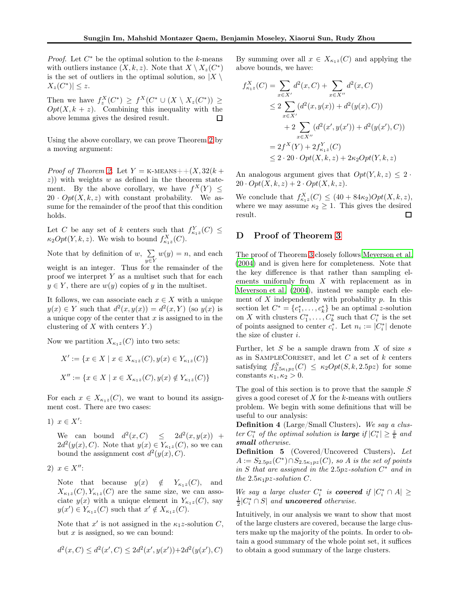*Proof.* Let  $C^*$  be the optimal solution to the  $k$ -means with outliers instance  $(X, k, z)$ . Note that  $X \setminus X_z(C^*)$ is the set of outliers in the optimal solution, so  $|X \rangle$  $X_z(C^*)\leq z.$ 

Then we have  $f_{z}^{X}(C^{*}) \geq f^{X}(C^{*} \cup (X \setminus X_{z}(C^{*})) \geq$  $Opt(X, k + z)$ . Combining this inequality with the above lemma gives the desired result. П

Using the above corollary, we can prove Theorem [2](#page-5-4) by a moving argument:

*Proof of Theorem [2.](#page-5-4)* Let  $Y = K\text{-MEANS} + (X, 32(k +$  $(z)$ ) with weights w as defined in the theorem statement. By the above corollary, we have  $f^X(Y) \leq$  $20 \cdot Opt(X, k, z)$  with constant probability. We assume for the remainder of the proof that this condition holds.

Let C be any set of k centers such that  $f_{\kappa_1z}^Y(C) \leq$  $\kappa_2 Opt(Y, k, z)$ . We wish to bound  $f_{\kappa_1 z}^X(C)$ .

Note that by definition of  $w, \Sigma$ y∈Y  $w(y) = n$ , and each weight is an integer. Thus for the remainder of the proof we interpret  $Y$  as a multiset such that for each  $y \in Y$ , there are  $w(y)$  copies of y in the multiset.

It follows, we can associate each  $x \in X$  with a unique  $y(x) \in Y$  such that  $d^2(x, y(x)) = d^2(x, Y)$  (so  $y(x)$  is a unique copy of the center that  $x$  is assigned to in the clustering of  $X$  with centers  $Y$ .)

Now we partition  $X_{\kappa_1z}(C)$  into two sets:

$$
X' := \{ x \in X \mid x \in X_{\kappa_1 z}(C), y(x) \in Y_{\kappa_1 z}(C) \}
$$
  

$$
X'' := \{ x \in X \mid x \in X_{\kappa_1 z}(C), y(x) \notin Y_{\kappa_1 z}(C) \}
$$

For each  $x \in X_{\kappa_1 z}(C)$ , we want to bound its assignment cost. There are two cases:

$$
1) \, x \in X' \colon
$$

We can bound  $d^2(x, C) \leq 2d^2(x, y(x)) +$  $2d^2(y(x), C)$ . Note that  $y(x) \in Y_{\kappa_1 z}(C)$ , so we can bound the assignment cost  $d^2(y(x), C)$ .

$$
2) \, x \in X'' \colon
$$

Note that because  $y(x) \notin Y_{\kappa_1z}(C)$ , and  $X_{\kappa_1z}(C), Y_{\kappa_1z}(C)$  are the same size, we can associate  $y(x)$  with a unique element in  $Y_{\kappa_1z}(C)$ , say  $y(x') \in Y_{\kappa_1 z}(C)$  such that  $x' \notin X_{\kappa_1 z}(C)$ .

Note that  $x'$  is not assigned in the  $\kappa_1 z$ -solution C, but  $x$  is assigned, so we can bound:

$$
d^{2}(x, C) \le d^{2}(x', C) \le 2d^{2}(x', y(x')) + 2d^{2}(y(x'), C)
$$

By summing over all  $x \in X_{\kappa_1 z}(C)$  and applying the above bounds, we have:

$$
f_{\kappa_1 z}^X(C) = \sum_{x \in X'} d^2(x, C) + \sum_{x \in X''} d^2(x, C)
$$
  
\n
$$
\leq 2 \sum_{x \in X'} (d^2(x, y(x)) + d^2(y(x), C))
$$
  
\n
$$
+ 2 \sum_{x \in X''} (d^2(x', y(x')) + d^2(y(x'), C))
$$
  
\n
$$
= 2f^X(Y) + 2f_{\kappa_1 z}^Y(C)
$$
  
\n
$$
\leq 2 \cdot 20 \cdot Opt(X, k, z) + 2\kappa_2 Opt(Y, k, z)
$$

An analogous argument gives that  $Opt(Y, k, z) \leq 2$ .  $20 \cdot Opt(X, k, z) + 2 \cdot Opt(X, k, z).$ 

We conclude that  $f_{\kappa_1z}^X(C) \leq (40 + 84\kappa_2)Opt(X, k, z),$ where we may assume  $\kappa_2 \geq 1$ . This gives the desired result.

## <span id="page-12-0"></span>D Proof of Theorem [3](#page-5-5)

The proof of Theorem [3](#page-5-5) closely follows [Meyerson et al.](#page-9-10) [\(2004\)](#page-9-10) and is given here for completeness. Note that the key difference is that rather than sampling elements uniformly from X with replacement as in [Meyerson et al. \(2004\)](#page-9-10), instead we sample each element of  $X$  independently with probability  $p$ . In this section let  $C^* = \{c_1^*, \ldots, c_k^*\}$  be an optimal z-solution on X with clusters  $C_1^*, \ldots, C_k^*$  such that  $C_i^*$  is the set of points assigned to center  $c_i^*$ . Let  $n_i := |C_i^*|$  denote the size of cluster i.

Further, let  $S$  be a sample drawn from  $X$  of size  $s$ as in SAMPLECORESET, and let  $C$  a set of  $k$  centers satisfying  $f_{2.5\kappa_1pz}^S(C) \leq \kappa_2Opt(S, k, 2.5pz)$  for some constants  $\kappa_1, \kappa_2 > 0$ .

The goal of this section is to prove that the sample S gives a good coreset of  $X$  for the  $k$ -means with outliers problem. We begin with some definitions that will be useful to our analysis:

Definition 4 (Large/Small Clusters). *We say a clus* $i$  *ter*  $C_i^*$  *of the optimal solution is large if*  $|C_i^*| \geq \frac{z}{k}$  *and* small *otherwise.*

Definition 5 (Covered/Uncovered Clusters). *Let*  $A := S_{2.5pz}(C^*) \cap S_{2.5\kappa_1pz}(C)$ *, so A is the set of points in* S *that are assigned in the* 2.5pz*-solution* C <sup>∗</sup> *and in the*  $2.5\kappa_1pz$ *-solution* C.

*We say a large cluster*  $C_i^*$  *is covered if*  $|C_i^* \cap A| \ge$  $\frac{1}{2}|C_i^* \cap S|$  and **uncovered** otherwise.

Intuitively, in our analysis we want to show that most of the large clusters are covered, because the large clusters make up the majority of the points. In order to obtain a good summary of the whole point set, it suffices to obtain a good summary of the large clusters.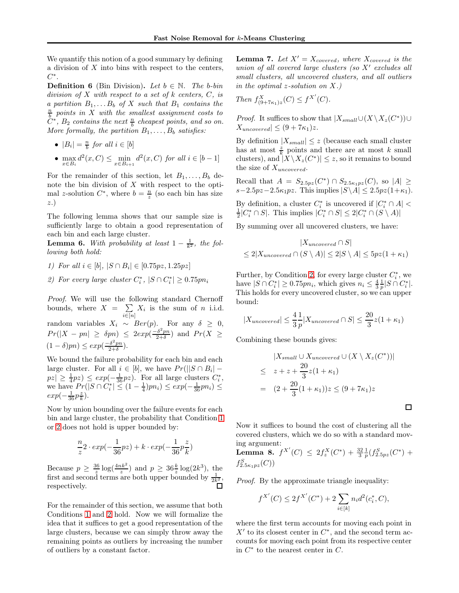We quantify this notion of a good summary by defining a division of  $X$  into bins with respect to the centers,  $C^*$ .

**Definition 6** (Bin Division). Let  $b \in \mathbb{N}$ . The b-bin *division of* X *with respect to a set of* k *centers,* C*, is a partition*  $B_1, \ldots, B_b$  *of* X *such that*  $B_1$  *contains the*  $\frac{n}{b}$  points in X with the smallest assignment costs to  $\check{C}^*$ ,  $B_2$  *contains the next*  $\frac{n}{b}$  *cheapest points, and so on. More formally, the partition*  $B_1, \ldots, B_b$  *satisfies:* 

\n- $$
|B_i| = \frac{n}{b}
$$
 for all  $i \in [b]$
\n- $\max_{x \in B_i} d^2(x, C) \leq \min_{x \in B_{i+1}} d^2(x, C)$  for all  $i \in [b-1]$
\n

 $\overline{B}$ 

For the remainder of this section, let  $B_1, \ldots, B_b$  denote the bin division of  $X$  with respect to the optimal z-solution  $C^*$ , where  $b = \frac{n}{z}$  (so each bin has size z.)

The following lemma shows that our sample size is sufficiently large to obtain a good representation of each bin and each large cluster.

<span id="page-13-2"></span><span id="page-13-0"></span>**Lemma 6.** With probability at least  $1 - \frac{1}{k^2}$ , the fol*lowing both hold:*

- <span id="page-13-1"></span>*1)* For all  $i \in [b]$ ,  $|S \cap B_i| \in [0.75pz, 1.25pz]$
- 2) For every large cluster  $C_i^*$ ,  $|S \cap C_i^*| \geq 0.75pn_i$

*Proof.* We will use the following standard Chernoff bounds, where  $X = \sum$  $\sum_{i \in [n]} X_i$  is the sum of *n* i.i.d. random variables  $X_i \sim Ber(p)$ . For any  $\delta \geq 0$ ,  $Pr(|X - pn| \geq \delta pn) \leq 2exp(\frac{-\delta^2 pn}{2+\delta})$  and  $Pr(X \geq$  $(1 - \delta)pn \leq exp\left(\frac{-\delta^2 pn}{2 + \delta}\right).$ 

We bound the failure probability for each bin and each large cluster. For all  $i \in [b]$ , we have  $Pr(||S \cap B_i| |pz| \ge \frac{1}{4}pz \le exp(-\frac{1}{36}pz).$  For all large clusters  $C_i^*$ , we have  $Pr(|S \cap C_i^*| \leq (1 - \frac{1}{4})pn_i) \leq exp(-\frac{1}{36}pn_i) \leq$  $exp(-\frac{1}{36}p\frac{z}{k}).$ 

Now by union bounding over the failure events for each bin and large cluster, the probability that Condition [1](#page-13-0) or [2](#page-13-1) does not hold is upper bounded by:

$$
\frac{n}{z}2 \cdot exp(-\frac{1}{36}pz) + k \cdot exp(-\frac{1}{36}p\frac{z}{k})
$$

Because  $p \geq \frac{36}{z} \log(\frac{4nk^2}{z})$  and  $p \geq 36\frac{k}{z} \log(2k^3)$ , the first and second terms are both upper bounded by  $\frac{1}{2k^2}$ , respectively.

For the remainder of this section, we assume that both Conditions [1](#page-13-0) and [2](#page-13-1) hold. Now we will formalize the idea that it suffices to get a good representation of the large clusters, because we can simply throw away the remaining points as outliers by increasing the number of outliers by a constant factor.

<span id="page-13-3"></span>**Lemma 7.** Let  $X' = X_{covered}$ , where  $X_{covered}$  is the *union of all covered large clusters (so* X′ *excludes all small clusters, all uncovered clusters, and all outliers in the optimal* z*-solution on* X*.)*

Then 
$$
f_{(9+7\kappa_1)z}^X(C) \leq f^{X'}(C)
$$
.

*Proof.* It suffices to show that  $|X_{small} \cup (X \setminus X_z(C^*)) \cup$  $X_{uncovered} \leq (9 + 7\kappa_1)z.$ 

By definition  $|X_{small}| \leq z$  (because each small cluster has at most  $\frac{z}{k}$  points and there are at most k small clusters), and  $|X \setminus X_z(C^*)| \leq z$ , so it remains to bound the size of  $X_{uncovered}$ .

Recall that  $A = S_{2.5pz}(C^*) \cap S_{2.5\kappa_1pz}(C)$ , so  $|A| \geq$ s−2.5pz−2.5 $\kappa_1$ pz. This implies  $|S \setminus A| \leq 2.5$ pz $(1+\kappa_1)$ .

By definition, a cluster  $C_i^*$  is uncovered if  $|C_i^* \cap A| < \frac{1}{2}|C_i^* \cap S|$ . This implies  $|C_i^* \cap S| \leq 2|C_i^* \cap (S \setminus A)|$ 

By summing over all uncovered clusters, we have:

$$
|X_{uncovered} \cap S|
$$
  

$$
\leq 2|X_{uncovered} \cap (S \setminus A)| \leq 2|S \setminus A| \leq 5pz(1 + \kappa_1)
$$

Further, by Condition [2,](#page-13-1) for every large cluster  $C_i^*$ , we have  $|S \cap C_i^*| \ge 0.75pn_i$ , which gives  $n_i \le \frac{4}{3} \frac{1}{p} |S \cap C_i^*|$ . This holds for every uncovered cluster, so we can upper bound:

$$
|X_{uncovered}| \le \frac{4}{3} \frac{1}{p} |X_{uncovered} \cap S| \le \frac{20}{3} z (1 + \kappa_1)
$$

Combining these bounds gives:

$$
|X_{small} \cup X_{uncovered} \cup (X \setminus X_z(C^*))|
$$
  
\n
$$
\leq z + z + \frac{20}{3}z(1 + \kappa_1)
$$
  
\n
$$
= (2 + \frac{20}{3}(1 + \kappa_1))z \leq (9 + 7\kappa_1)z
$$

 $\Box$ 

Now it suffices to bound the cost of clustering all the covered clusters, which we do so with a standard moving argument:

<span id="page-13-4"></span>**Lemma 8.**  $f^{X'}(C) \leq 2f_z^X(C^*) + \frac{32}{3} \frac{1}{p} (f_{2.5pz}^S(C^*) +$  $f_{2.5\kappa_1pz}^S(C)$ 

*Proof.* By the approximate triangle inequality:

$$
f^{X'}(C) \le 2f^{X'}(C^*) + 2\sum_{i \in [k]} n_i d^2(c_i^*, C),
$$

where the first term accounts for moving each point in  $X'$  to its closest center in  $C^*$ , and the second term accounts for moving each point from its respective center in  $C^*$  to the nearest center in  $C$ .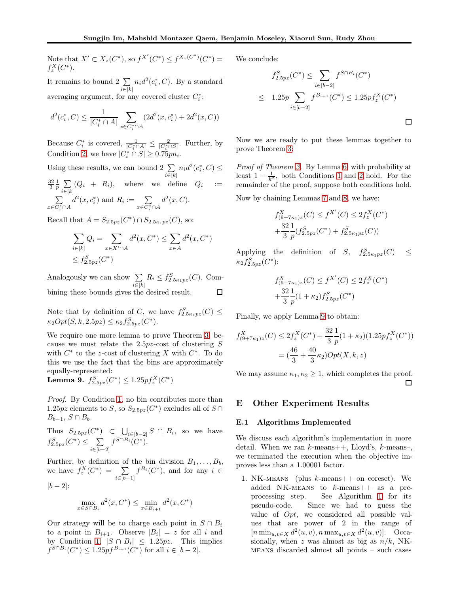Note that  $X' \subset X_z(C^*)$ , so  $f^{X'}(C^*) \leq f^{X_z(C^*)}(C^*)$  $f^X_z(C^*)$ .

It remains to bound 2  $\Sigma$  $\sum_{i \in [k]} n_i d^2(c_i^*, C)$ . By a standard averaging argument, for any covered cluster  $C_i^*$ :

$$
d^{2}(c_{i}^{*}, C) \le \frac{1}{|C_{i}^{*} \cap A|} \sum_{x \in C_{i}^{*} \cap A} (2d^{2}(x, c_{i}^{*}) + 2d^{2}(x, C))
$$

Because  $C_i^*$  is covered,  $\frac{1}{|C_i^* \cap A|} \leq \frac{2}{|C_i^* \cap S|}$ . Further, by Condition [2,](#page-13-1) we have  $|C_i^* \cap S| \ge 0.75pn_i$ .

Using these results, we can bound 2  $\Sigma$  $\sum_{i\in[k]} n_i d^2(c_i^*, C) \leq$  $rac{32}{3}$  $rac{1}{p}$   $brace$  $\sum_{i\in[k]}(Q_i + R_i),$  where we define  $Q_i$  :=

$$
\sum_{x \in C_i^* \cap A} d^2(x, c_i^*) \text{ and } R_i := \sum_{x \in C_i^* \cap A} d^2(x, C).
$$

Recall that  $A = S_{2.5pz}(C^*) \cap S_{2.5\kappa_1pz}(C)$ , so:

$$
\sum_{i \in [k]} Q_i = \sum_{x \in X' \cap A} d^2(x, C^*) \le \sum_{x \in A} d^2(x, C^*)
$$
  

$$
\le f_{2.5pz}^S(C^*)
$$

 $\sum_{i \in [k]} R_i \leq f_{2.5\kappa_1pz}^S(C)$ . Com-Analogously we can show  $\Sigma$ bining these bounds gives the desired result.  $\Box$ 

Note that by definition of C, we have  $f_{2.5\kappa_1pz}^S(C) \leq$  $\kappa_2 Opt(S, k, 2.5pz) \leq \kappa_2 f_{2.5pz}^S(C^*).$ 

We require one more lemma to prove Theorem [3,](#page-5-5) because we must relate the 2.5pz-cost of clustering S with  $C^*$  to the z-cost of clustering X with  $C^*$ . To do this we use the fact that the bins are approximately equally-represented:

<span id="page-14-1"></span>Lemma 9.  $f_{2.5pz}^S(C^*) \leq 1.25pf_z^X(C^*)$ 

*Proof.* By Condition [1,](#page-13-0) no bin contributes more than 1.25pz elements to S, so  $S_{2.5pz}(C^*)$  excludes all of  $S \cap$  $B_{b-1}$ ,  $S \cap B_b$ .

Thus  $S_{2.5pz}(C^*) \subset \bigcup_{i\in [b-2]} S \cap B_i$ , so we have  $f_{2.5pz}^S(C^*) \leq \sum_{n=1}$ i∈[b−2]  $f^{S \cap B_i}(C^*).$ 

Further, by definition of the bin division  $B_1, \ldots, B_b$ , we have  $f_z^X(C^*) = \sum$  $i \in [b-1]$  $f^{B_i}(C^*)$ , and for any  $i \in$  $[b-2]$ :

$$
\max_{x \in S \cap B_i} d^2(x, C^*) \le \min_{x \in B_{i+1}} d^2(x, C^*)
$$

Our strategy will be to charge each point in  $S \cap B_i$ to a point in  $B_{i+1}$ . Observe  $|B_i| = z$  for all i and by Condition [1,](#page-13-0)  $|S \cap B_i| \leq 1.25pz$ . This implies  $f^{S \cap B_i}(C^*) \leq 1.25p f^{B_{i+1}}(C^*)$  for all  $i \in [b-2]$ .

We conclude:

$$
f_{2.5pz}^S(C^*) \le \sum_{i \in [b-2]} f^{S \cap B_i}(C^*)
$$
  
\n
$$
\le 1.25p \sum_{i \in [b-2]} f^{B_{i+1}}(C^*) \le 1.25pf_z^X(C^*)
$$

Now we are ready to put these lemmas together to prove Theorem [3:](#page-5-5)

*Proof of Theorem [3.](#page-5-5)* By Lemma [6,](#page-13-2) with probability at least  $1 - \frac{1}{k^2}$ , both Conditions [1](#page-13-0) and [2](#page-13-1) hold. For the remainder of the proof, suppose both conditions hold.

Now by chaining Lemmas [7](#page-13-3) and [8,](#page-13-4) we have:

$$
f_{(9+7\kappa_1)z}^X(C) \le f^{X'}(C) \le 2f_z^X(C^*) + \frac{32}{3} \frac{1}{p} (f_{2.5pz}^S(C^*) + f_{2.5\kappa_1pz}^S(C))
$$

Applying the definition of  $S$ ,  $f_{2.5\kappa_1pz}^S(C) \leq$  $\kappa_2 f^S_{2.5 pz} (C^*)$ :

$$
f_{(9+7\kappa_1)z}^X(C) \le f^{X'}(C) \le 2f_z^X(C^*)
$$
  
 
$$
+\frac{32}{3}\frac{1}{p}(1+\kappa_2)f_{2.5pz}^S(C^*)
$$

Finally, we apply Lemma [9](#page-14-1) to obtain:

$$
f_{(9+7\kappa_1)z}^X(C) \le 2f_z^X(C^*) + \frac{32}{3} \frac{1}{p} (1 + \kappa_2)(1.25p f_z^X(C^*))
$$
  
=  $(\frac{46}{3} + \frac{40}{3}\kappa_2) Opt(X, k, z)$ 

<span id="page-14-0"></span>We may assume  $\kappa_1, \kappa_2 \ge 1$ , which completes the proof.

### E Other Experiment Results

#### E.1 Algorithms Implemented

We discuss each algorithm's implementation in more detail. When we ran  $k$ -means++, Lloyd's,  $k$ -means-, we terminated the execution when the objective improves less than a 1.00001 factor.

1. NK-MEANS (plus  $k$ -means  $+$  on coreset). We added NK-MEANS to  $k$ -means++ as a preprocessing step. See Algorithm [1](#page-4-4) for its pseudo-code. Since we had to guess the value of Opt, we considered all possible values that are power of 2 in the range of  $[n \min_{u,v \in X} d^2(u,v), n \max_{u,v \in X} d^2(u,v)].$  Occasionally, when z was almost as big as  $n/k$ , NKmeans discarded almost all points – such cases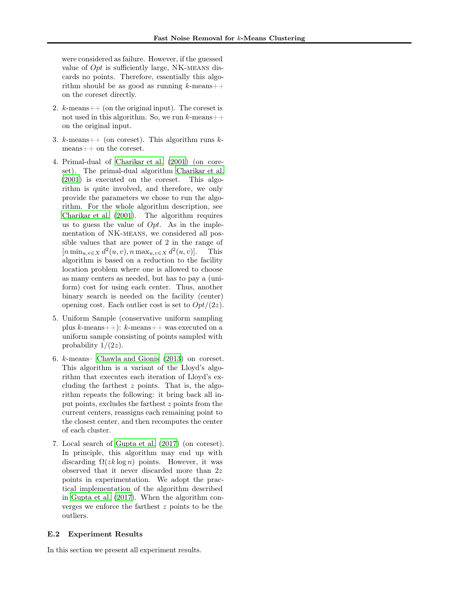were considered as failure. However, if the guessed value of Opt is sufficiently large, NK-means discards no points. Therefore, essentially this algorithm should be as good as running  $k$ -means++ on the coreset directly.

- 2. k-means  $++$  (on the original input). The coreset is not used in this algorithm. So, we run  $k$ -means  $++$ on the original input.
- 3. k-means +  $+$  (on coreset). This algorithm runs kmeans++ on the coreset.
- 4. Primal-dual of [Charikar et al. \(2001\)](#page-8-4) (on coreset). The primal-dual algorithm [Charikar et al.](#page-8-4) [\(2001\)](#page-8-4) is executed on the coreset. This algorithm is quite involved, and therefore, we only provide the parameters we chose to run the algorithm. For the whole algorithm description, see [Charikar et al. \(2001\)](#page-8-4). The algorithm requires us to guess the value of  $Opt$ . As in the implementation of NK-means, we considered all possible values that are power of 2 in the range of  $[n \min_{u,v \in X} d^2(u,v), n \max_{u,v \in X} d^2(u,v)].$  This algorithm is based on a reduction to the facility location problem where one is allowed to choose as many centers as needed, but has to pay a (uniform) cost for using each center. Thus, another binary search is needed on the facility (center) opening cost. Each outlier cost is set to  $Opt/(2z)$ .
- 5. Uniform Sample (conservative uniform sampling plus k-means++ $\cdot$ : k-means++ was executed on a uniform sample consisting of points sampled with probability  $1/(2z)$ .
- 6. k-means– [Chawla and Gionis \(2013](#page-8-5)) on coreset. This algorithm is a variant of the Lloyd's algorithm that executes each iteration of Lloyd's excluding the farthest z points. That is, the algorithm repeats the following: it bring back all input points, excludes the farthest z points from the current centers, reassigns each remaining point to the closest center, and then recomputes the center of each cluster.
- 7. Local search of [Gupta et al. \(2017\)](#page-9-8) (on coreset). In principle, this algorithm may end up with discarding  $\Omega(zk\log n)$  points. However, it was observed that it never discarded more than 2z points in experimentation. We adopt the practical implementation of the algorithm described in [Gupta et al. \(2017\)](#page-9-8). When the algorithm converges we enforce the farthest z points to be the outliers.

#### E.2 Experiment Results

In this section we present all experiment results.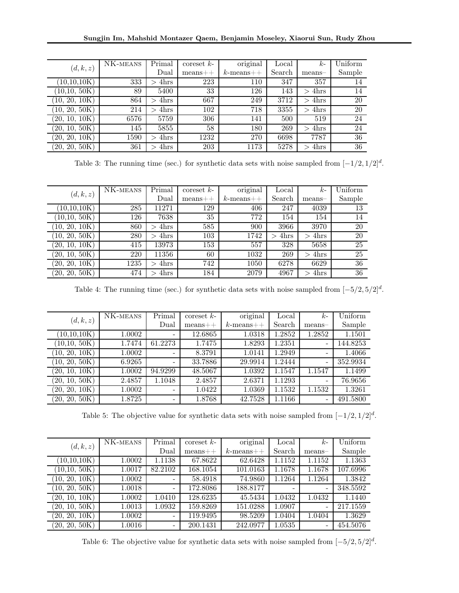| (d, k, z)     | NK-MEANS | Primal        | $\cos$ coreset $k$ - | original        | Local  | $k-$             | Uniform |
|---------------|----------|---------------|----------------------|-----------------|--------|------------------|---------|
|               |          | Dual          | $means++$            | $k$ -means $++$ | Search | $means-$         | Sample  |
| (10,10,10K)   | 333      | 4hrs          | 223                  | 110             | 347    | 357              | 14      |
| (10, 10, 50K) | 89       | 5400          | 33                   | 126             | 143    | $>4$ hrs         | 14      |
| (10, 20, 10K) | 864      | 4hrs          | 667                  | 249             | 3712   | 4hrs<br>$\gt$    | 20      |
| (10, 20, 50K) | 214      | 4hrs<br>$\gt$ | 102                  | 718             | 3355   | 4hrs<br>$\rm{>}$ | 20      |
| (20, 10, 10K) | 6576     | 5759          | 306                  | 141             | 500    | 519              | 24      |
| (20, 10, 50K) | 145      | 5855          | 58                   | 180             | 269    | 4hrs<br>$\gt$    | 24      |
| (20, 20, 10K) | 1590     | 4hrs<br>$\gt$ | 1232                 | 270             | 6698   | 7787             | 36      |
| (20, 20, 50K) | 361      | 4hrs<br>$\gt$ | 203                  | 1173            | 5278   | 4hrs<br>$\gt$    | 36      |

Table 3: The running time (sec.) for synthetic data sets with noise sampled from  $[-1/2, 1/2]^d$ .

| (d,k,z)                        | NK-MEANS | Primal         | $\cos$ coreset $k$ - | original        | Local  | $k-$          | Uniform |
|--------------------------------|----------|----------------|----------------------|-----------------|--------|---------------|---------|
|                                |          | Dual           | $means++$            | $k$ -means $++$ | Search | means-        | Sample  |
| $(10,10,10\overline{{\rm K}})$ | 285      | 11271          | 129                  | 406             | 247    | 4039          | 13      |
| $(10, 10, 50\overline{\rm K})$ | 126      | 7638           | 35                   | 772             | 154    | 154           | 14      |
| (10, 20, 10K)                  | 860      | 4hrs           | 585                  | 900             | 3966   | 3970          | 20      |
| (10, 20, 50K)                  | 280      | 4hrs<br>↘      | 103                  | 1742            | 4hrs   | $>4$ hrs      | 20      |
| (20, 10, 10K)                  | 415      | 13973          | 153                  | 557             | 328    | 5658          | 25      |
| (20, 10, 50K)                  | 220      | 11356          | 60                   | 1032            | 269    | 4hrs<br>$\gt$ | 25      |
| (20, 20, 10K)                  | 1235     | 4hrs<br>$\!>$  | 742                  | 1050            | 6278   | 6629          | 36      |
| (20, 20, 50K)                  | 474      | 4hrs<br>$\geq$ | 184                  | 2079            | 4967   | 4hrs<br>$\gt$ | 36      |

Table 4: The running time (sec.) for synthetic data sets with noise sampled from  $[-5/2, 5/2]^d$ .

| (d, k, z)                | NK-MEANS | Primal                   | coreset $k$ - | original        | Local  | $k-$                     | Uniform  |
|--------------------------|----------|--------------------------|---------------|-----------------|--------|--------------------------|----------|
|                          |          | Dual                     | $means++$     | $k$ -means $++$ | Search | $means-$                 | Sample   |
| (10,10,10K)              | 1.0002   | $\overline{\phantom{a}}$ | 12.6865       | 1.0318          | 1.2852 | 1.2852                   | 1.1501   |
| (10, 10, 50K)            | 1.7474   | 61.2273                  | 1.7475        | 1.8293          | 1.2351 | $\overline{\phantom{0}}$ | 144.8253 |
| (10, 20, 10K)            | 1.0002   |                          | 8.3791        | 1.0141          | 1.2949 | $\overline{\phantom{a}}$ | 1.4066   |
| 20, 50K<br>10.           | 6.9265   | $\overline{\phantom{a}}$ | 33.7886       | 29.9914         | 1.2444 | $\overline{\phantom{a}}$ | 352.9934 |
| 10K)<br>'20,<br>10.      | 1.0002   | 94.9299                  | 48.5067       | 1.0392          | 1.1547 | 1.1547                   | 1.1499   |
| 10, 50K)<br>'20,         | 2.4857   | 1.1048                   | 2.4857        | 2.6371          | 1.1293 | $\overline{\phantom{a}}$ | 76.9656  |
| 20, 10K<br>$\sqrt{20}$ , | 1.0002   | $\overline{\phantom{a}}$ | 1.0422        | 1.0369          | 1.1532 | 1.1532                   | 1.3261   |
| 20, 50K<br>'20,          | 1.8725   | $\overline{\phantom{a}}$ | 1.8768        | 42.7528         | 1.1166 | $\overline{\phantom{a}}$ | 491.5800 |

Table 5: The objective value for synthetic data sets with noise sampled from  $[-1/2, 1/2]^d$ .

| (d, k, z)     | NK-MEANS | Primal                   | $\cos$ ect $k$ - | original        | Local                    | $k-$                     | Uniform  |
|---------------|----------|--------------------------|------------------|-----------------|--------------------------|--------------------------|----------|
|               |          | Dual                     | $means++$        | $k$ -means $++$ | Search                   | $means-$                 | Sample   |
| (10, 10, 10K) | 1.0002   | 1.1138                   | 67.8622          | 62.6428         | 1.1152                   | 1.1152                   | 1.1363   |
| (10, 10, 50K) | 1.0017   | 82.2102                  | 168.1054         | 101.0163        | 1.1678                   | 1.1678                   | 107.6996 |
| (10, 20, 10K) | 1.0002   | $\overline{\phantom{a}}$ | 58.4918          | 74.9860         | 1.1264                   | 1.1264                   | 1.3842   |
| (10, 20, 50K) | 1.0018   | $\overline{\phantom{a}}$ | 172.8086         | 188.8177        | $\overline{\phantom{0}}$ | $\overline{\phantom{0}}$ | 348.5592 |
| (20, 10, 10K) | 1.0002   | 1.0410                   | 128.6235         | 45.5434         | 1.0432                   | 1.0432                   | 1.1440   |
| (20, 10, 50K) | 1.0013   | 1.0932                   | 159.8269         | 151.0288        | 1.0907                   | $\overline{a}$           | 217.1559 |
| (20, 20, 10K) | 1.0002   | $\overline{\phantom{a}}$ | 119.9495         | 98.5209         | 1.0404                   | 1.0404                   | 1.3629   |
| (20, 20, 50K) | 1.0016   | $\overline{\phantom{a}}$ | 200.1431         | 242.0977        | 1.0535                   | $\overline{a}$           | 454.5076 |

Table 6: The objective value for synthetic data sets with noise sampled from  $[-5/2, 5/2]^d$ .